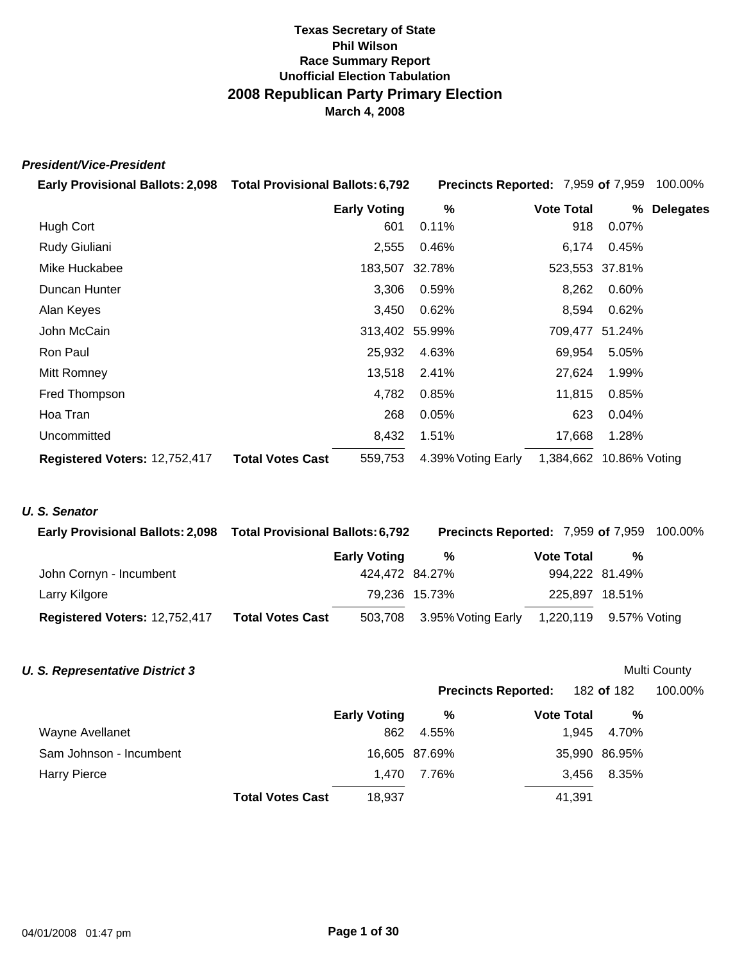# *President/Vice-President*

| Early Provisional Ballots: 2,098  Total Provisional Ballots: 6,792 |                                    |                | Precincts Reported: 7,959 of 7,959 |                | 100.00%          |
|--------------------------------------------------------------------|------------------------------------|----------------|------------------------------------|----------------|------------------|
|                                                                    | <b>Early Voting</b>                | %              | <b>Vote Total</b>                  | ℅              | <b>Delegates</b> |
| Hugh Cort                                                          |                                    | 601<br>0.11%   | 918                                | 0.07%          |                  |
| Rudy Giuliani                                                      | 2,555                              | 0.46%          | 6,174                              | 0.45%          |                  |
| Mike Huckabee                                                      |                                    | 183,507 32.78% |                                    | 523,553 37.81% |                  |
| Duncan Hunter                                                      | 3,306                              | 0.59%          | 8,262                              | 0.60%          |                  |
| Alan Keyes                                                         | 3,450                              | 0.62%          | 8,594                              | 0.62%          |                  |
| John McCain                                                        |                                    | 313,402 55.99% |                                    | 709,477 51.24% |                  |
| Ron Paul                                                           | 25,932                             | 4.63%          | 69,954                             | 5.05%          |                  |
| Mitt Romney                                                        | 13,518                             | 2.41%          | 27,624                             | 1.99%          |                  |
| Fred Thompson                                                      | 4,782                              | 0.85%          | 11,815                             | 0.85%          |                  |
| Hoa Tran                                                           |                                    | 268<br>0.05%   | 623                                | 0.04%          |                  |
| Uncommitted                                                        | 8,432                              | 1.51%          | 17,668                             | 1.28%          |                  |
| Registered Voters: 12,752,417                                      | <b>Total Votes Cast</b><br>559,753 |                | 1,384,662<br>4.39% Voting Early    | 10.86% Voting  |                  |

# *U. S. Senator*

| <b>Early Provisional Ballots: 2,098</b> | <b>Total Provisional Ballots: 6,792</b> |                            |                   | <b>Precincts Reported: 7,959 of 7,959 100.00%</b> |
|-----------------------------------------|-----------------------------------------|----------------------------|-------------------|---------------------------------------------------|
|                                         | <b>Early Voting</b>                     | %                          | <b>Vote Total</b> | %                                                 |
| John Cornyn - Incumbent                 |                                         | 424,472 84.27%             | 994,222 81.49%    |                                                   |
| Larry Kilgore                           |                                         | 79,236 15.73%              | 225,897 18.51%    |                                                   |
| Registered Voters: 12,752,417           | <b>Total Votes Cast</b>                 | 503,708 3.95% Voting Early |                   | 1,220,119 9.57% Voting                            |

| <b>U. S. Representative District 3</b> |                         |                     |               |                            |               | <b>Multi County</b> |
|----------------------------------------|-------------------------|---------------------|---------------|----------------------------|---------------|---------------------|
|                                        |                         |                     |               | <b>Precincts Reported:</b> | 182 of 182    | 100.00%             |
|                                        |                         | <b>Early Voting</b> | %             | <b>Vote Total</b>          | %             |                     |
| Wayne Avellanet                        |                         | 862                 | 4.55%         | 1.945                      | 4.70%         |                     |
| Sam Johnson - Incumbent                |                         |                     | 16,605 87.69% |                            | 35,990 86.95% |                     |
| <b>Harry Pierce</b>                    |                         | 1.470               | 7.76%         | 3.456                      | 8.35%         |                     |
|                                        | <b>Total Votes Cast</b> | 18,937              |               | 41,391                     |               |                     |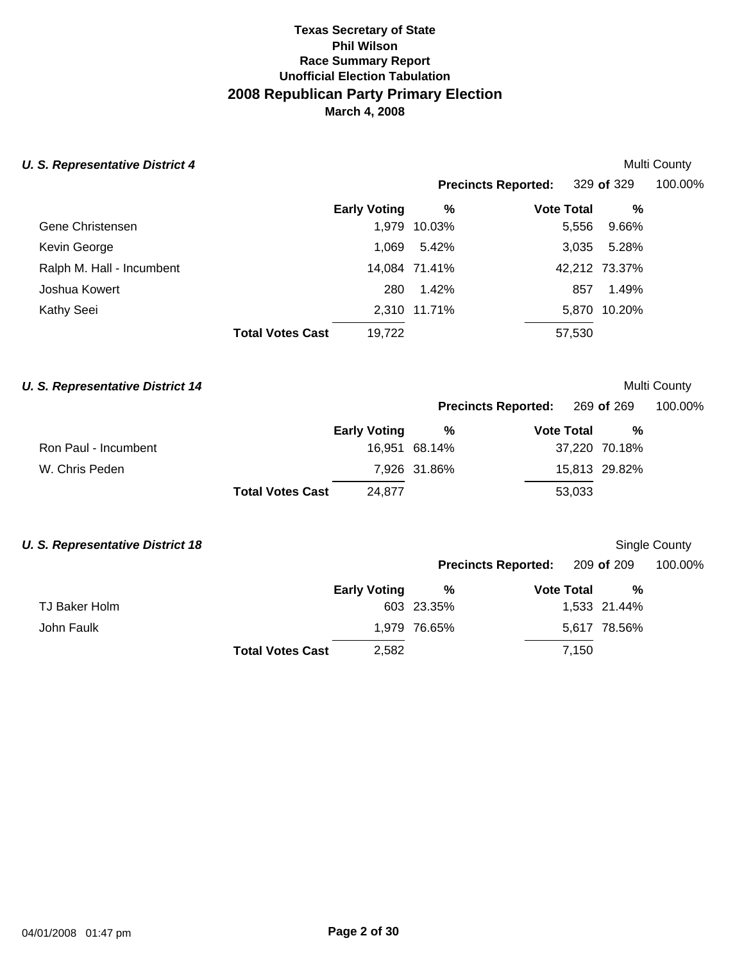| <b>U. S. Representative District 4</b> |                                   |               |                            |               | Multi County |
|----------------------------------------|-----------------------------------|---------------|----------------------------|---------------|--------------|
|                                        |                                   |               | <b>Precincts Reported:</b> | 329 of 329    | 100.00%      |
|                                        | <b>Early Voting</b>               | %             | <b>Vote Total</b>          | %             |              |
| Gene Christensen                       | 1,979                             | 10.03%        | 5,556                      | 9.66%         |              |
| Kevin George                           | 1.069                             | 5.42%         | 3,035                      | 5.28%         |              |
| Ralph M. Hall - Incumbent              |                                   | 14.084 71.41% |                            | 42,212 73.37% |              |
| Joshua Kowert                          | 280                               | 1.42%         | 857                        | 1.49%         |              |
| Kathy Seei                             |                                   | 2.310 11.71%  |                            | 5,870 10.20%  |              |
|                                        | <b>Total Votes Cast</b><br>19,722 |               | 57,530                     |               |              |

# **U. S. Representative District 14**

**Precincts Reported:** 269 **of** 269 100.00%

|                      |                         | <b>Early Voting</b> | %             | <b>Vote Total</b> | %             |
|----------------------|-------------------------|---------------------|---------------|-------------------|---------------|
| Ron Paul - Incumbent |                         |                     | 16,951 68.14% |                   | 37,220 70.18% |
| W. Chris Peden       |                         |                     | 7,926 31.86%  |                   | 15,813 29.82% |
|                      | <b>Total Votes Cast</b> | 24.877              |               | 53,033            |               |

# **U. S. Representative District 18 U. S. Representative District 18**

|               |                         |                     | <b>Precincts Reported: 209 of 209</b> |                   |              | 100.00% |
|---------------|-------------------------|---------------------|---------------------------------------|-------------------|--------------|---------|
|               |                         | <b>Early Voting</b> | %                                     | <b>Vote Total</b> | %            |         |
| TJ Baker Holm |                         |                     | 603 23.35%                            |                   | 1,533 21.44% |         |
| John Faulk    |                         |                     | 1,979 76.65%                          |                   | 5,617 78.56% |         |
|               | <b>Total Votes Cast</b> | 2,582               |                                       | 7,150             |              |         |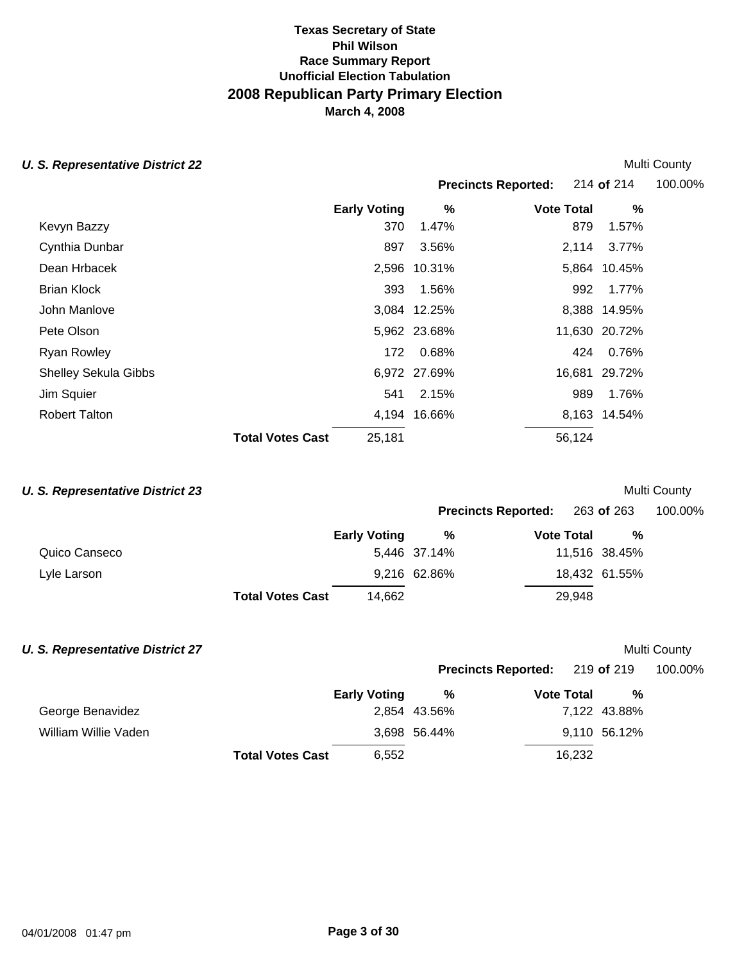### **U. S. Representative District 22 Multi County County Act 20 August 22 Multi County August 22**

|                             |                         |                     |              |                            |               | IVIUILI VUUILLY |
|-----------------------------|-------------------------|---------------------|--------------|----------------------------|---------------|-----------------|
|                             |                         |                     |              | <b>Precincts Reported:</b> | 214 of 214    | 100.00%         |
|                             |                         | <b>Early Voting</b> | %            | <b>Vote Total</b>          | %             |                 |
| Kevyn Bazzy                 |                         | 370                 | 1.47%        | 879                        | 1.57%         |                 |
| Cynthia Dunbar              |                         | 897                 | 3.56%        | 2,114                      | 3.77%         |                 |
| Dean Hrbacek                |                         |                     | 2,596 10.31% |                            | 5,864 10.45%  |                 |
| <b>Brian Klock</b>          |                         | 393                 | 1.56%        | 992                        | 1.77%         |                 |
| John Manlove                |                         |                     | 3,084 12.25% |                            | 8,388 14.95%  |                 |
| Pete Olson                  |                         |                     | 5,962 23.68% |                            | 11,630 20.72% |                 |
| <b>Ryan Rowley</b>          |                         | 172                 | 0.68%        | 424                        | 0.76%         |                 |
| <b>Shelley Sekula Gibbs</b> |                         |                     | 6,972 27.69% |                            | 16,681 29.72% |                 |
| Jim Squier                  |                         | 541                 | 2.15%        | 989                        | 1.76%         |                 |
| <b>Robert Talton</b>        |                         |                     | 4,194 16.66% |                            | 8,163 14.54%  |                 |
|                             | <b>Total Votes Cast</b> | 25,181              |              | 56,124                     |               |                 |
|                             |                         |                     |              |                            |               |                 |

# **U. S. Representative District 23** and the set of the set of the set of the set of the set of the Multi County

|               |                         |                     |              | <b>Precincts Reported:</b><br>263 <b>of</b> 263 |               | 100.00% |
|---------------|-------------------------|---------------------|--------------|-------------------------------------------------|---------------|---------|
|               |                         | <b>Early Voting</b> | %            | <b>Vote Total</b>                               | %             |         |
| Quico Canseco |                         |                     | 5,446 37.14% |                                                 | 11,516 38.45% |         |
| Lyle Larson   |                         |                     | 9,216 62.86% |                                                 | 18,432 61.55% |         |
|               | <b>Total Votes Cast</b> | 14.662              |              | 29,948                                          |               |         |

# **U. S. Representative District 27** and the set of the set of the set of the set of the Multi County

|                      |                         |                     |              | <b>Precincts Reported:</b> 219 of 219 |              | 100.00% |
|----------------------|-------------------------|---------------------|--------------|---------------------------------------|--------------|---------|
|                      |                         | <b>Early Voting</b> | %            | <b>Vote Total</b>                     | %            |         |
| George Benavidez     |                         |                     | 2,854 43.56% |                                       | 7,122 43.88% |         |
| William Willie Vaden |                         |                     | 3,698 56.44% |                                       | 9,110 56.12% |         |
|                      | <b>Total Votes Cast</b> | 6,552               |              | 16,232                                |              |         |
|                      |                         |                     |              |                                       |              |         |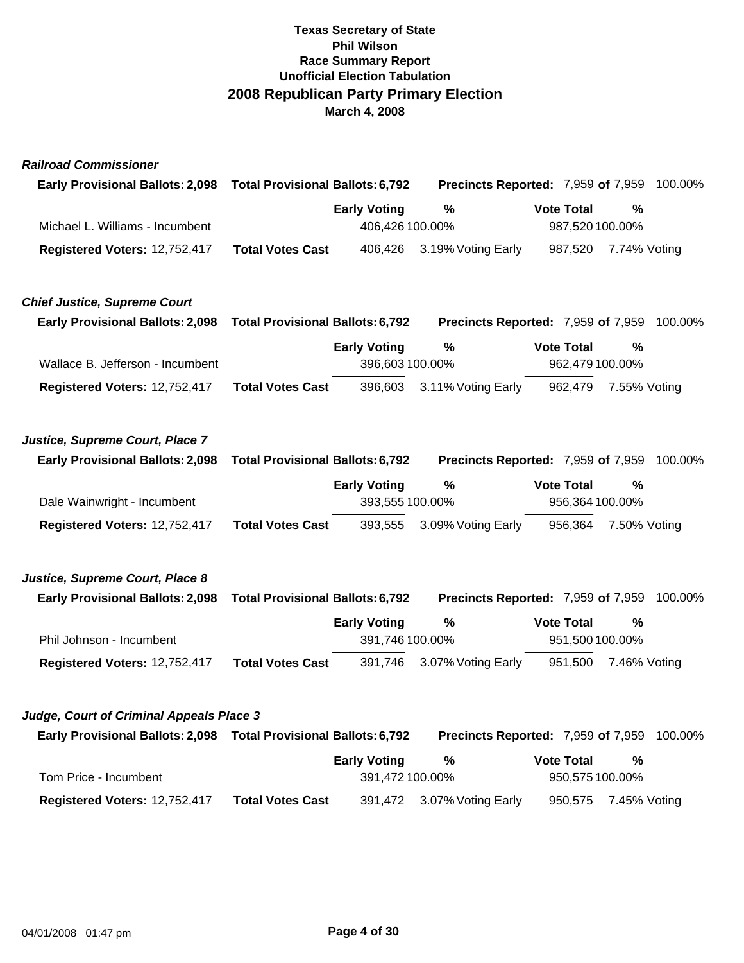| <b>Railroad Commissioner</b>                                       |                                         |                     |                                                   |                   |              |         |
|--------------------------------------------------------------------|-----------------------------------------|---------------------|---------------------------------------------------|-------------------|--------------|---------|
| <b>Early Provisional Ballots: 2,098</b>                            | <b>Total Provisional Ballots: 6,792</b> |                     | Precincts Reported: 7,959 of 7,959                |                   |              | 100.00% |
|                                                                    |                                         | <b>Early Voting</b> | $\%$                                              | <b>Vote Total</b> | %            |         |
| Michael L. Williams - Incumbent                                    |                                         | 406,426 100.00%     |                                                   | 987,520 100.00%   |              |         |
| Registered Voters: 12,752,417                                      | <b>Total Votes Cast</b>                 | 406,426             | 3.19% Voting Early                                | 987,520           | 7.74% Voting |         |
| <b>Chief Justice, Supreme Court</b>                                |                                         |                     |                                                   |                   |              |         |
| <b>Early Provisional Ballots: 2,098</b>                            | <b>Total Provisional Ballots: 6,792</b> |                     | <b>Precincts Reported: 7,959 of 7,959 100.00%</b> |                   |              |         |
|                                                                    |                                         | <b>Early Voting</b> | $\%$                                              | <b>Vote Total</b> | %            |         |
| Wallace B. Jefferson - Incumbent                                   |                                         | 396,603 100.00%     |                                                   | 962,479 100.00%   |              |         |
| Registered Voters: 12,752,417                                      | <b>Total Votes Cast</b>                 | 396,603             | 3.11% Voting Early                                | 962,479           | 7.55% Voting |         |
| Justice, Supreme Court, Place 7                                    |                                         |                     |                                                   |                   |              |         |
| <b>Early Provisional Ballots: 2,098</b>                            | <b>Total Provisional Ballots: 6,792</b> |                     | Precincts Reported: 7,959 of 7,959                |                   |              | 100.00% |
|                                                                    |                                         | <b>Early Voting</b> | $\%$                                              | <b>Vote Total</b> | %            |         |
| Dale Wainwright - Incumbent                                        |                                         | 393,555 100.00%     |                                                   | 956,364 100.00%   |              |         |
| Registered Voters: 12,752,417                                      | <b>Total Votes Cast</b>                 | 393,555             | 3.09% Voting Early                                | 956,364           | 7.50% Voting |         |
| Justice, Supreme Court, Place 8                                    |                                         |                     |                                                   |                   |              |         |
| <b>Early Provisional Ballots: 2,098</b>                            | <b>Total Provisional Ballots: 6,792</b> |                     | <b>Precincts Reported: 7,959 of 7,959 100.00%</b> |                   |              |         |
|                                                                    |                                         | <b>Early Voting</b> | $\%$                                              | <b>Vote Total</b> | $\%$         |         |
| Phil Johnson - Incumbent                                           |                                         | 391,746 100.00%     |                                                   | 951,500 100.00%   |              |         |
| Registered Voters: 12,752,417                                      | <b>Total Votes Cast</b>                 | 391,746             | 3.07% Voting Early                                | 951,500           | 7.46% Voting |         |
| Judge, Court of Criminal Appeals Place 3                           |                                         |                     |                                                   |                   |              |         |
| Early Provisional Ballots: 2,098  Total Provisional Ballots: 6,792 |                                         |                     | Precincts Reported: 7,959 of 7,959                |                   |              | 100.00% |
|                                                                    |                                         | <b>Early Voting</b> | $\%$                                              | <b>Vote Total</b> | $\%$         |         |
| Tom Price - Incumbent                                              |                                         | 391,472 100.00%     |                                                   | 950,575 100.00%   |              |         |

**Registered Voters:** 12,752,417 **Total Votes Cast** 391,472 3.07% Voting Early 950,575 7.45% Voting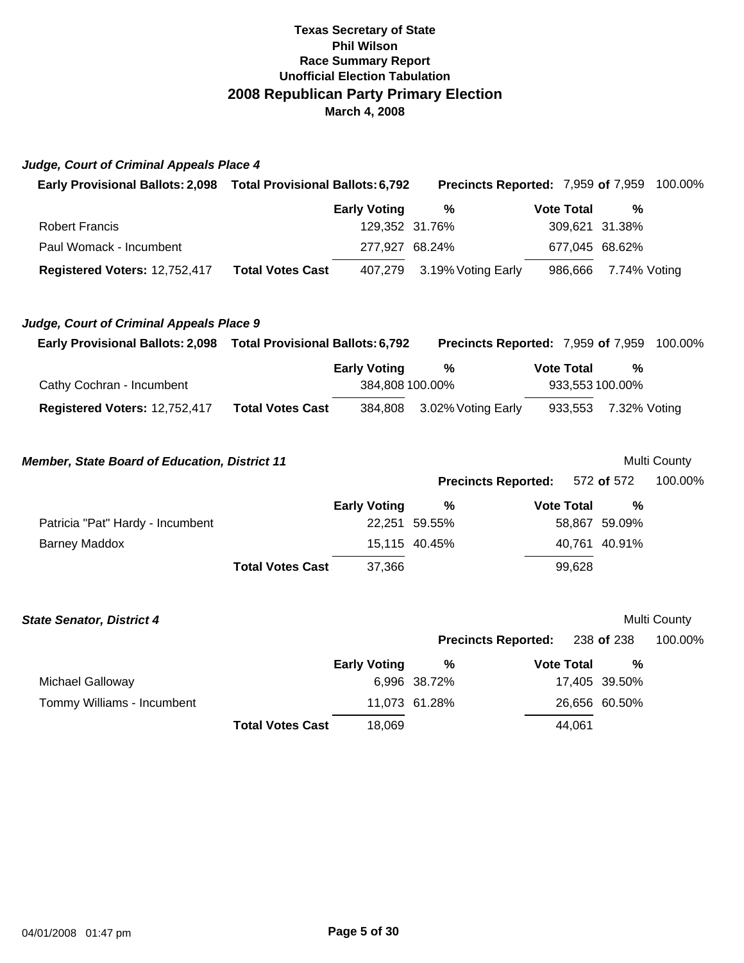|  | Judge, Court of Criminal Appeals Place 4 |  |
|--|------------------------------------------|--|
|  |                                          |  |

| <b>Early Provisional Ballots: 2,098</b> | <b>Total Provisional Ballots: 6,792</b> |                            |                   | <b>Precincts Reported: 7,959 of 7,959 100.00%</b> |  |
|-----------------------------------------|-----------------------------------------|----------------------------|-------------------|---------------------------------------------------|--|
|                                         | <b>Early Voting</b>                     | %                          | <b>Vote Total</b> | %                                                 |  |
| <b>Robert Francis</b>                   |                                         | 129,352 31.76%             |                   | 309,621 31.38%                                    |  |
| Paul Womack - Incumbent                 |                                         | 277,927 68.24%             | 677,045 68.62%    |                                                   |  |
| Registered Voters: 12,752,417           | <b>Total Votes Cast</b>                 | 407,279 3.19% Voting Early |                   | 986,666 7.74% Voting                              |  |

| Judge, Court of Criminal Appeals Place 9 |  |
|------------------------------------------|--|
|------------------------------------------|--|

| <b>Early Provisional Ballots: 2,098</b> | <b>Total Provisional Ballots: 6,792</b> |                     | Precincts Reported: 7,959 of 7,959 |                      |   | 100.00% |
|-----------------------------------------|-----------------------------------------|---------------------|------------------------------------|----------------------|---|---------|
|                                         |                                         | <b>Early Voting</b> | %                                  | <b>Vote Total</b>    | % |         |
| Cathy Cochran - Incumbent               |                                         | 384,808 100.00%     |                                    | 933,553 100.00%      |   |         |
| Registered Voters: 12,752,417           | <b>Total Votes Cast</b>                 |                     | 384,808 3.02% Voting Early         | 933,553 7.32% Voting |   |         |

| <b>Member, State Board of Education, District 11</b> |                     |               |                            |               | Multi County |
|------------------------------------------------------|---------------------|---------------|----------------------------|---------------|--------------|
|                                                      |                     |               | <b>Precincts Reported:</b> | 572 of 572    | 100.00%      |
|                                                      | <b>Early Voting</b> | %             | <b>Vote Total</b>          | %             |              |
| Patricia "Pat" Hardy - Incumbent                     |                     | 22.251 59.55% |                            | 58,867 59.09% |              |
| <b>Barney Maddox</b>                                 |                     | 15.115 40.45% |                            | 40,761 40.91% |              |
| <b>Total Votes Cast</b>                              | 37,366              |               | 99,628                     |               |              |

| <b>State Senator, District 4</b> |                         |                     |               |                            |        |               | Multi County |
|----------------------------------|-------------------------|---------------------|---------------|----------------------------|--------|---------------|--------------|
|                                  |                         |                     |               | <b>Precincts Reported:</b> |        | 238 of 238    | 100.00%      |
|                                  |                         | <b>Early Voting</b> | %             | <b>Vote Total</b>          |        | %             |              |
| Michael Galloway                 |                         |                     | 6,996 38.72%  |                            |        | 17,405 39.50% |              |
| Tommy Williams - Incumbent       |                         |                     | 11,073 61.28% |                            |        | 26,656 60.50% |              |
|                                  | <b>Total Votes Cast</b> | 18,069              |               |                            | 44,061 |               |              |
|                                  |                         |                     |               |                            |        |               |              |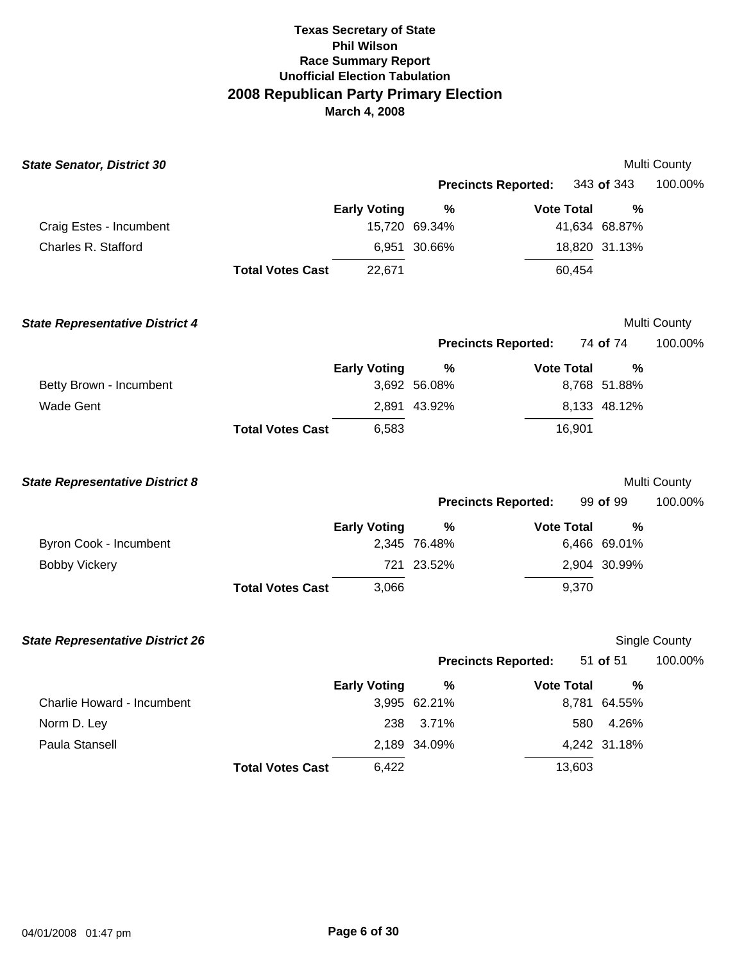| <b>State Senator, District 30</b>       |                         |                     |                            |                   |               | Multi County  |
|-----------------------------------------|-------------------------|---------------------|----------------------------|-------------------|---------------|---------------|
|                                         |                         |                     | <b>Precincts Reported:</b> |                   | 343 of 343    | 100.00%       |
|                                         |                         | <b>Early Voting</b> | %                          | <b>Vote Total</b> | %             |               |
| Craig Estes - Incumbent                 |                         |                     | 15,720 69.34%              |                   | 41,634 68.87% |               |
| Charles R. Stafford                     |                         |                     | 6,951 30.66%               |                   | 18,820 31.13% |               |
|                                         | <b>Total Votes Cast</b> | 22,671              |                            | 60,454            |               |               |
| <b>State Representative District 4</b>  |                         |                     |                            |                   |               | Multi County  |
|                                         |                         |                     | <b>Precincts Reported:</b> |                   | 74 of 74      | 100.00%       |
|                                         |                         | <b>Early Voting</b> | %                          | <b>Vote Total</b> | %             |               |
| Betty Brown - Incumbent                 |                         |                     | 3,692 56.08%               |                   | 8,768 51.88%  |               |
| <b>Wade Gent</b>                        |                         |                     | 2,891 43.92%               |                   | 8,133 48.12%  |               |
|                                         | <b>Total Votes Cast</b> | 6,583               |                            | 16,901            |               |               |
| <b>State Representative District 8</b>  |                         |                     |                            |                   |               | Multi County  |
|                                         |                         |                     | <b>Precincts Reported:</b> |                   | 99 of 99      | 100.00%       |
|                                         |                         | <b>Early Voting</b> | %                          | <b>Vote Total</b> | %             |               |
| Byron Cook - Incumbent                  |                         |                     | 2,345 76.48%               |                   | 6,466 69.01%  |               |
| <b>Bobby Vickery</b>                    |                         |                     | 721 23.52%                 |                   | 2,904 30.99%  |               |
|                                         | <b>Total Votes Cast</b> | 3,066               |                            | 9,370             |               |               |
| <b>State Representative District 26</b> |                         |                     |                            |                   |               | Single County |
|                                         |                         |                     | <b>Precincts Reported:</b> |                   | 51 of 51      | 100.00%       |
|                                         |                         | <b>Early Voting</b> | %                          | <b>Vote Total</b> | $\%$          |               |
| Charlie Howard - Incumbent              |                         |                     | 3,995 62.21%               |                   | 8,781 64.55%  |               |
| Norm D. Ley                             |                         | 238                 | 3.71%                      | 580               | 4.26%         |               |
| Paula Stansell                          |                         |                     | 2,189 34.09%               |                   | 4,242 31.18%  |               |
|                                         | <b>Total Votes Cast</b> | 6,422               |                            | 13,603            |               |               |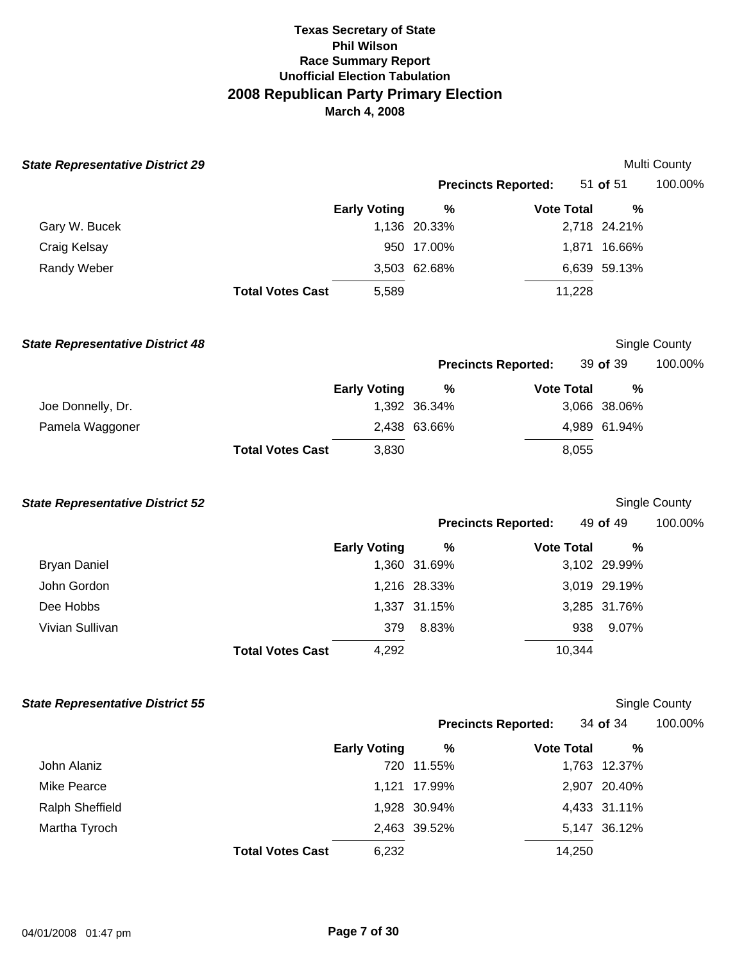| <b>State Representative District 29</b> |                         |                     |                 |                            |                   | Multi County  |
|-----------------------------------------|-------------------------|---------------------|-----------------|----------------------------|-------------------|---------------|
|                                         |                         |                     |                 | <b>Precincts Reported:</b> | 51 of 51          | 100.00%       |
|                                         |                         | <b>Early Voting</b> | $\%$            | <b>Vote Total</b>          | %                 |               |
| Gary W. Bucek                           |                         |                     | 1,136 20.33%    |                            | 2,718 24.21%      |               |
| Craig Kelsay                            |                         |                     | 950 17.00%      |                            | 1,871 16.66%      |               |
| Randy Weber                             |                         |                     | 3,503 62.68%    |                            | 6,639 59.13%      |               |
|                                         | <b>Total Votes Cast</b> | 5,589               |                 | 11,228                     |                   |               |
| <b>State Representative District 48</b> |                         |                     |                 |                            |                   | Single County |
|                                         |                         |                     |                 | <b>Precincts Reported:</b> | 39 of 39          | 100.00%       |
|                                         |                         | <b>Early Voting</b> | $\%$            | <b>Vote Total</b>          | %                 |               |
| Joe Donnelly, Dr.                       |                         |                     | 1,392 36.34%    |                            | 3,066 38.06%      |               |
| Pamela Waggoner                         |                         |                     | 2,438 63.66%    |                            | 4,989 61.94%      |               |
|                                         | <b>Total Votes Cast</b> | 3,830               |                 | 8,055                      |                   |               |
| <b>State Representative District 52</b> |                         |                     |                 |                            |                   | Single County |
|                                         |                         |                     |                 | <b>Precincts Reported:</b> | 49 of 49          | 100.00%       |
|                                         |                         | <b>Early Voting</b> | $\%$            | <b>Vote Total</b>          | %                 |               |
| <b>Bryan Daniel</b>                     |                         |                     | 1,360 31.69%    |                            | 3,102 29.99%      |               |
| John Gordon                             |                         |                     | 1,216 28.33%    |                            | 3,019 29.19%      |               |
| Dee Hobbs                               |                         |                     | 1,337 31.15%    |                            | 3,285 31.76%      |               |
| Vivian Sullivan                         |                         | 379                 | 8.83%           | 938                        | 9.07%             |               |
|                                         | <b>Total Votes Cast</b> | 4,292               |                 | 10,344                     |                   |               |
| <b>State Representative District 55</b> |                         |                     |                 |                            |                   | Single County |
|                                         |                         |                     |                 | <b>Precincts Reported:</b> | 34 of 34          | 100.00%       |
| John Alaniz                             |                         | <b>Early Voting</b> | %<br>720 11.55% | <b>Vote Total</b>          | %<br>1,763 12.37% |               |
| <b>Mike Pearce</b>                      |                         |                     | 1,121 17.99%    |                            | 2,907 20.40%      |               |
| <b>Ralph Sheffield</b>                  |                         |                     | 1,928 30.94%    |                            | 4,433 31.11%      |               |
| Martha Tyroch                           |                         |                     | 2,463 39.52%    |                            | 5,147 36.12%      |               |
|                                         | <b>Total Votes Cast</b> | 6,232               |                 | 14,250                     |                   |               |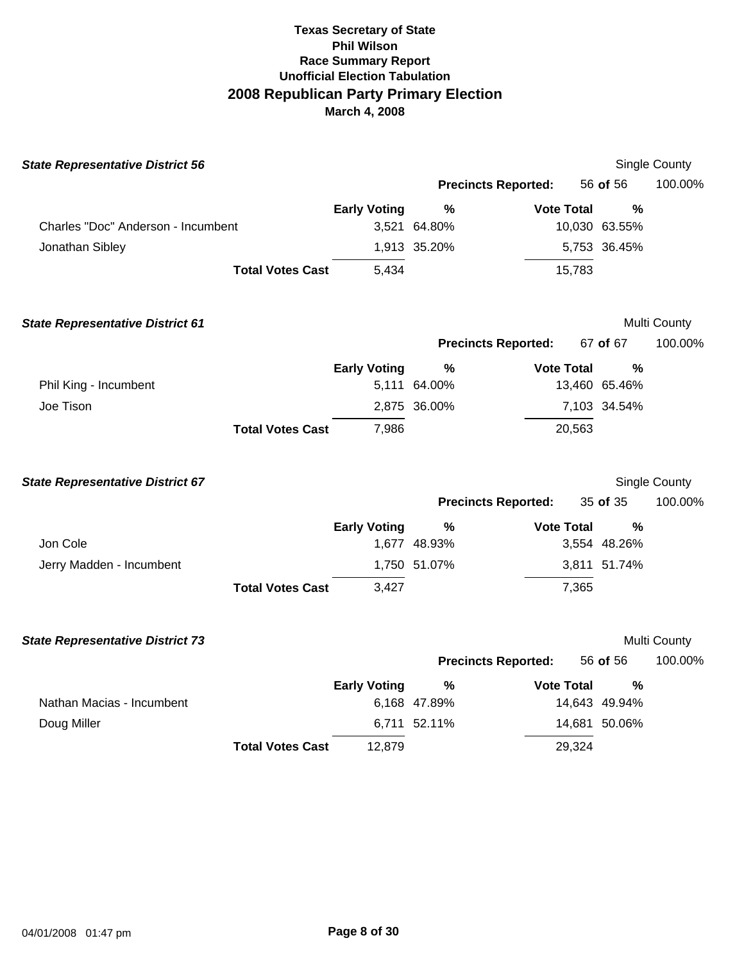| <b>State Representative District 56</b> |                         |                     |                            |                   |               | Single County        |
|-----------------------------------------|-------------------------|---------------------|----------------------------|-------------------|---------------|----------------------|
|                                         |                         |                     | <b>Precincts Reported:</b> |                   | 56 of 56      | 100.00%              |
|                                         |                         | <b>Early Voting</b> | %                          | <b>Vote Total</b> | %             |                      |
| Charles "Doc" Anderson - Incumbent      |                         |                     | 3,521 64.80%               |                   | 10,030 63.55% |                      |
| Jonathan Sibley                         |                         |                     | 1,913 35.20%               |                   | 5,753 36.45%  |                      |
|                                         | <b>Total Votes Cast</b> | 5,434               |                            | 15,783            |               |                      |
| <b>State Representative District 61</b> |                         |                     |                            |                   |               | Multi County         |
|                                         |                         |                     | <b>Precincts Reported:</b> |                   | 67 of 67      | 100.00%              |
|                                         |                         | <b>Early Voting</b> | $\frac{9}{6}$              | <b>Vote Total</b> | $\frac{0}{0}$ |                      |
| Phil King - Incumbent                   |                         |                     | 5,111 64.00%               |                   | 13,460 65.46% |                      |
| Joe Tison                               |                         |                     | 2,875 36.00%               |                   | 7,103 34.54%  |                      |
|                                         | <b>Total Votes Cast</b> | 7,986               |                            | 20,563            |               |                      |
| <b>State Representative District 67</b> |                         |                     |                            |                   |               | <b>Single County</b> |
|                                         |                         |                     | <b>Precincts Reported:</b> |                   | 35 of 35      | 100.00%              |
|                                         |                         | <b>Early Voting</b> | %                          | <b>Vote Total</b> | %             |                      |
| Jon Cole                                |                         |                     | 1,677 48.93%               |                   | 3,554 48.26%  |                      |
| Jerry Madden - Incumbent                |                         |                     | 1,750 51.07%               |                   | 3,811 51.74%  |                      |
|                                         | <b>Total Votes Cast</b> | 3,427               |                            | 7,365             |               |                      |
| <b>State Representative District 73</b> |                         |                     |                            |                   |               | Multi County         |
|                                         |                         |                     | <b>Precincts Reported:</b> |                   | 56 of 56      | 100.00%              |
|                                         |                         | <b>Early Voting</b> | $\frac{9}{6}$              | <b>Vote Total</b> | %             |                      |
| Nathan Macias - Incumbent               |                         |                     | 6,168 47.89%               |                   | 14,643 49.94% |                      |
| Doug Miller                             |                         |                     | 6,711 52.11%               |                   | 14,681 50.06% |                      |
|                                         | <b>Total Votes Cast</b> | 12,879              |                            | 29,324            |               |                      |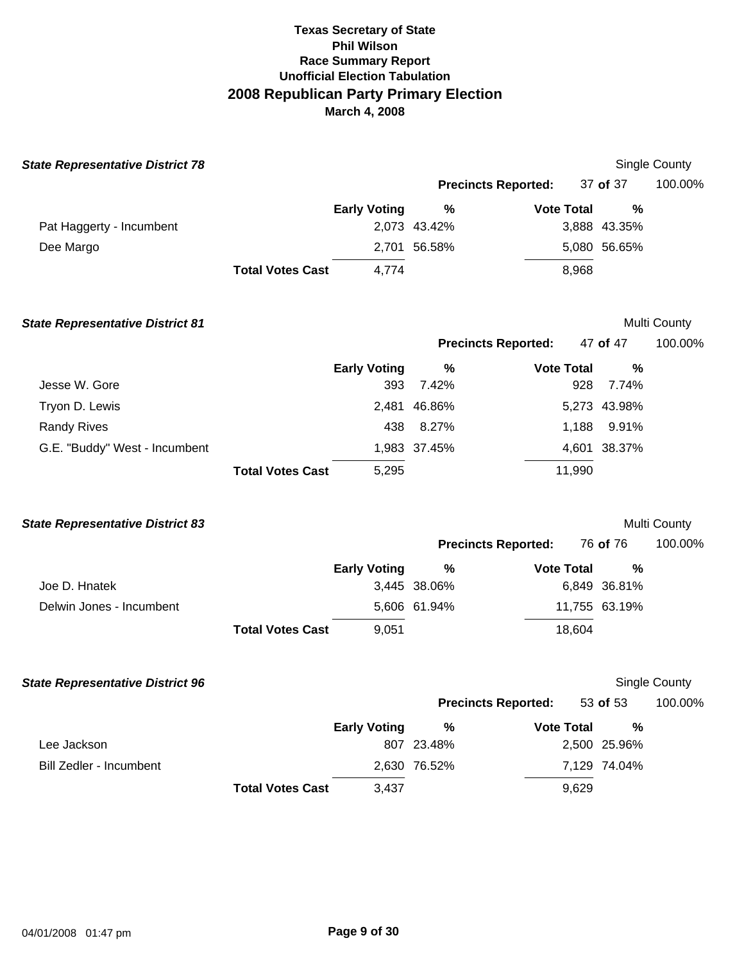| <b>State Representative District 78</b> |                         |                     |              |                            |               | <b>Single County</b> |
|-----------------------------------------|-------------------------|---------------------|--------------|----------------------------|---------------|----------------------|
|                                         |                         |                     |              | <b>Precincts Reported:</b> | 37 of 37      | 100.00%              |
|                                         |                         | <b>Early Voting</b> | %            | <b>Vote Total</b>          | %             |                      |
| Pat Haggerty - Incumbent                |                         |                     | 2,073 43.42% |                            | 3,888 43.35%  |                      |
| Dee Margo                               |                         |                     | 2,701 56.58% |                            | 5,080 56.65%  |                      |
|                                         | <b>Total Votes Cast</b> | 4,774               |              | 8,968                      |               |                      |
| <b>State Representative District 81</b> |                         |                     |              |                            |               | Multi County         |
|                                         |                         |                     |              | <b>Precincts Reported:</b> | 47 of 47      | 100.00%              |
|                                         |                         | <b>Early Voting</b> | $\%$         | <b>Vote Total</b>          | %             |                      |
| Jesse W. Gore                           |                         | 393                 | 7.42%        | 928                        | 7.74%         |                      |
| Tryon D. Lewis                          |                         |                     | 2,481 46.86% |                            | 5,273 43.98%  |                      |
| <b>Randy Rives</b>                      |                         | 438                 | 8.27%        | 1,188                      | 9.91%         |                      |
| G.E. "Buddy" West - Incumbent           |                         |                     | 1,983 37.45% |                            | 4,601 38.37%  |                      |
|                                         | <b>Total Votes Cast</b> | 5,295               |              | 11,990                     |               |                      |
| <b>State Representative District 83</b> |                         |                     |              |                            |               | Multi County         |
|                                         |                         |                     |              | <b>Precincts Reported:</b> | 76 of 76      | 100.00%              |
|                                         |                         | <b>Early Voting</b> | %            | <b>Vote Total</b>          | %             |                      |
| Joe D. Hnatek                           |                         |                     | 3,445 38.06% |                            | 6,849 36.81%  |                      |
| Delwin Jones - Incumbent                |                         |                     | 5,606 61.94% |                            | 11,755 63.19% |                      |
|                                         | <b>Total Votes Cast</b> | 9,051               |              | 18,604                     |               |                      |
| <b>State Representative District 96</b> |                         |                     |              |                            |               | <b>Single County</b> |
|                                         |                         |                     |              | <b>Precincts Reported:</b> | 53 of 53      | 100.00%              |
|                                         |                         | <b>Early Voting</b> | $\%$         | <b>Vote Total</b>          | %             |                      |
| Lee Jackson                             |                         |                     | 807 23.48%   |                            | 2,500 25.96%  |                      |
| <b>Bill Zedler - Incumbent</b>          |                         |                     | 2,630 76.52% |                            | 7,129 74.04%  |                      |
|                                         | <b>Total Votes Cast</b> | 3,437               |              | 9,629                      |               |                      |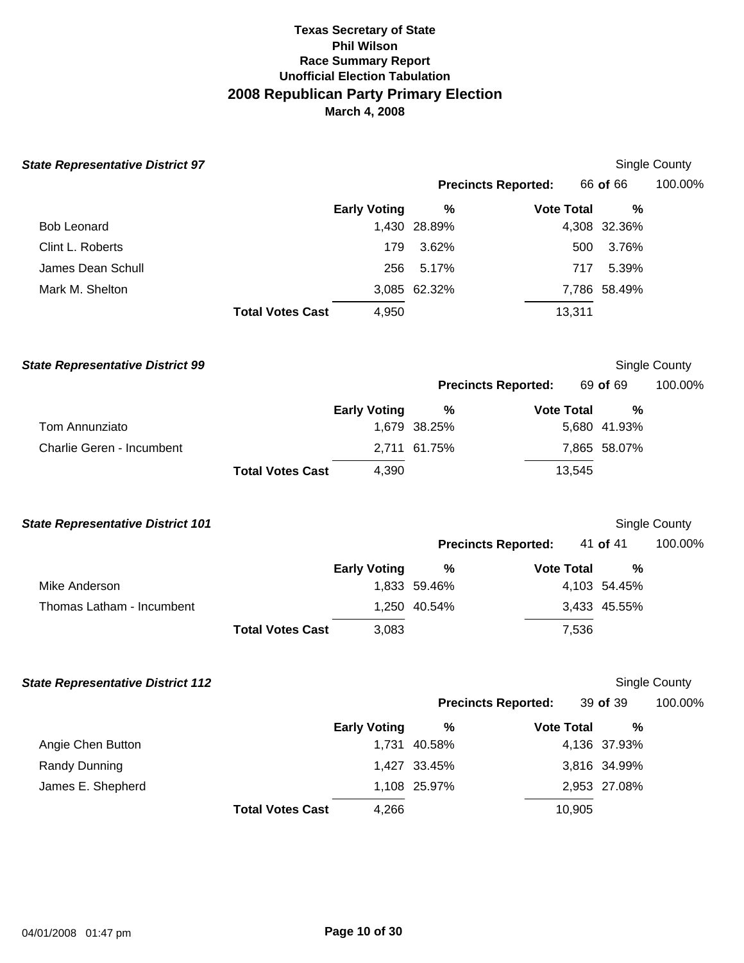| <b>State Representative District 97</b>  |                         |                     |              |                            |          |               | Single County        |
|------------------------------------------|-------------------------|---------------------|--------------|----------------------------|----------|---------------|----------------------|
|                                          |                         |                     |              | <b>Precincts Reported:</b> | 66 of 66 |               | 100.00%              |
|                                          |                         | <b>Early Voting</b> | %            | <b>Vote Total</b>          |          | $\frac{0}{0}$ |                      |
| <b>Bob Leonard</b>                       |                         |                     | 1,430 28.89% |                            |          | 4,308 32.36%  |                      |
| Clint L. Roberts                         |                         | 179                 | 3.62%        |                            | 500      | 3.76%         |                      |
| James Dean Schull                        |                         | 256                 | 5.17%        |                            | 717      | 5.39%         |                      |
| Mark M. Shelton                          |                         |                     | 3,085 62.32% |                            |          | 7,786 58.49%  |                      |
|                                          | <b>Total Votes Cast</b> | 4,950               |              | 13,311                     |          |               |                      |
| <b>State Representative District 99</b>  |                         |                     |              |                            |          |               | <b>Single County</b> |
|                                          |                         |                     |              | <b>Precincts Reported:</b> | 69 of 69 |               | 100.00%              |
|                                          |                         | <b>Early Voting</b> | %            | <b>Vote Total</b>          |          | %             |                      |
| Tom Annunziato                           |                         |                     | 1,679 38.25% |                            |          | 5,680 41.93%  |                      |
| Charlie Geren - Incumbent                |                         |                     | 2,711 61.75% |                            |          | 7,865 58.07%  |                      |
|                                          | <b>Total Votes Cast</b> | 4,390               |              | 13,545                     |          |               |                      |
| <b>State Representative District 101</b> |                         |                     |              |                            |          |               | <b>Single County</b> |
|                                          |                         |                     |              | <b>Precincts Reported:</b> | 41 of 41 |               | 100.00%              |
|                                          |                         | <b>Early Voting</b> | $\%$         | <b>Vote Total</b>          |          | %             |                      |
| Mike Anderson                            |                         |                     | 1,833 59.46% |                            |          | 4,103 54.45%  |                      |
| Thomas Latham - Incumbent                |                         |                     | 1,250 40.54% |                            |          | 3,433 45.55%  |                      |
|                                          | <b>Total Votes Cast</b> | 3,083               |              |                            | 7,536    |               |                      |
| <b>State Representative District 112</b> |                         |                     |              |                            |          |               | Single County        |
|                                          |                         |                     |              | <b>Precincts Reported:</b> | 39 of 39 |               | 100.00%              |
|                                          |                         | <b>Early Voting</b> | $\%$         | <b>Vote Total</b>          |          | $\%$          |                      |
| Angie Chen Button                        |                         |                     | 1,731 40.58% |                            |          | 4,136 37.93%  |                      |
| Randy Dunning                            |                         |                     | 1,427 33.45% |                            |          | 3,816 34.99%  |                      |
| James E. Shepherd                        |                         |                     | 1,108 25.97% |                            |          | 2,953 27.08%  |                      |
|                                          | <b>Total Votes Cast</b> | 4,266               |              | 10,905                     |          |               |                      |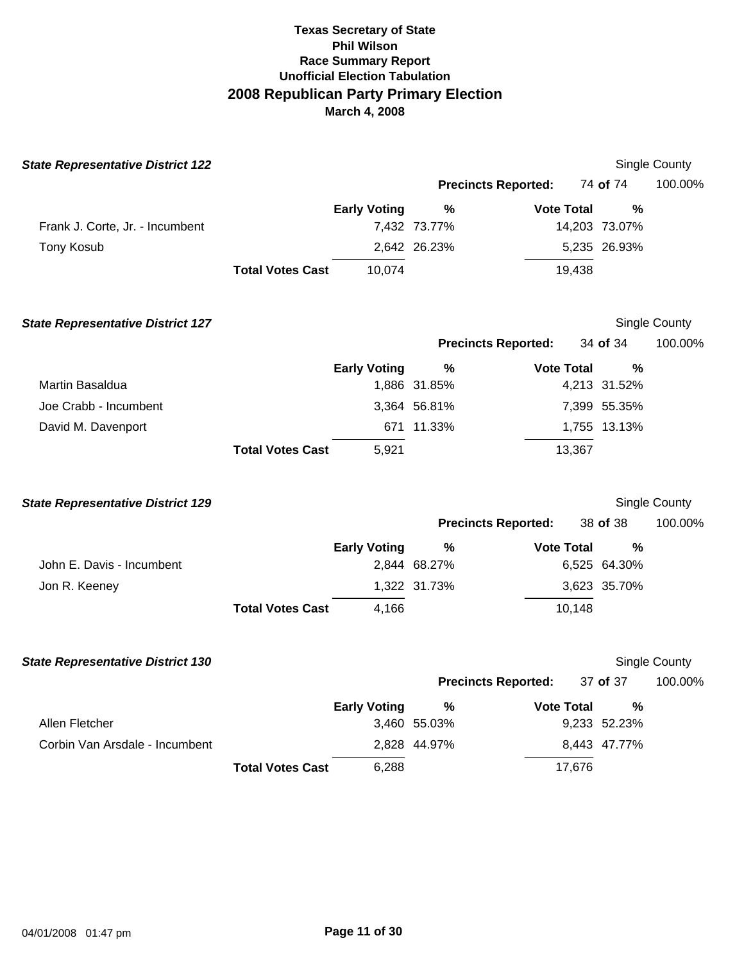| <b>State Representative District 122</b> |                         |                     |              |                            |               | Single County        |
|------------------------------------------|-------------------------|---------------------|--------------|----------------------------|---------------|----------------------|
|                                          |                         |                     |              | <b>Precincts Reported:</b> | 74 of 74      | 100.00%              |
|                                          |                         | <b>Early Voting</b> | %            | <b>Vote Total</b>          | %             |                      |
| Frank J. Corte, Jr. - Incumbent          |                         |                     | 7,432 73.77% |                            | 14,203 73.07% |                      |
| <b>Tony Kosub</b>                        |                         |                     | 2,642 26.23% |                            | 5,235 26.93%  |                      |
|                                          | <b>Total Votes Cast</b> | 10,074              |              | 19,438                     |               |                      |
| <b>State Representative District 127</b> |                         |                     |              |                            |               | <b>Single County</b> |
|                                          |                         |                     |              | <b>Precincts Reported:</b> | 34 of 34      | 100.00%              |
|                                          |                         | <b>Early Voting</b> | %            | <b>Vote Total</b>          | %             |                      |
| Martin Basaldua                          |                         |                     | 1,886 31.85% |                            | 4,213 31.52%  |                      |
| Joe Crabb - Incumbent                    |                         |                     | 3,364 56.81% |                            | 7,399 55.35%  |                      |
| David M. Davenport                       |                         |                     | 671 11.33%   |                            | 1,755 13.13%  |                      |
|                                          | <b>Total Votes Cast</b> | 5,921               |              | 13,367                     |               |                      |
| <b>State Representative District 129</b> |                         |                     |              |                            |               | Single County        |
|                                          |                         |                     |              | <b>Precincts Reported:</b> | 38 of 38      | 100.00%              |
|                                          |                         | <b>Early Voting</b> | $\%$         | <b>Vote Total</b>          | $\frac{0}{0}$ |                      |
| John E. Davis - Incumbent                |                         |                     | 2,844 68.27% |                            | 6,525 64.30%  |                      |
| Jon R. Keeney                            |                         |                     | 1,322 31.73% |                            | 3,623 35.70%  |                      |
|                                          | <b>Total Votes Cast</b> | 4,166               |              | 10,148                     |               |                      |
| <b>State Representative District 130</b> |                         |                     |              |                            |               | <b>Single County</b> |
|                                          |                         |                     |              | <b>Precincts Reported:</b> | 37 of 37      | 100.00%              |
|                                          |                         | <b>Early Voting</b> | %            | <b>Vote Total</b>          | %             |                      |
| Allen Fletcher                           |                         |                     | 3,460 55.03% |                            | 9,233 52.23%  |                      |
| Corbin Van Arsdale - Incumbent           |                         |                     | 2,828 44.97% |                            | 8,443 47.77%  |                      |
|                                          | <b>Total Votes Cast</b> | 6,288               |              | 17,676                     |               |                      |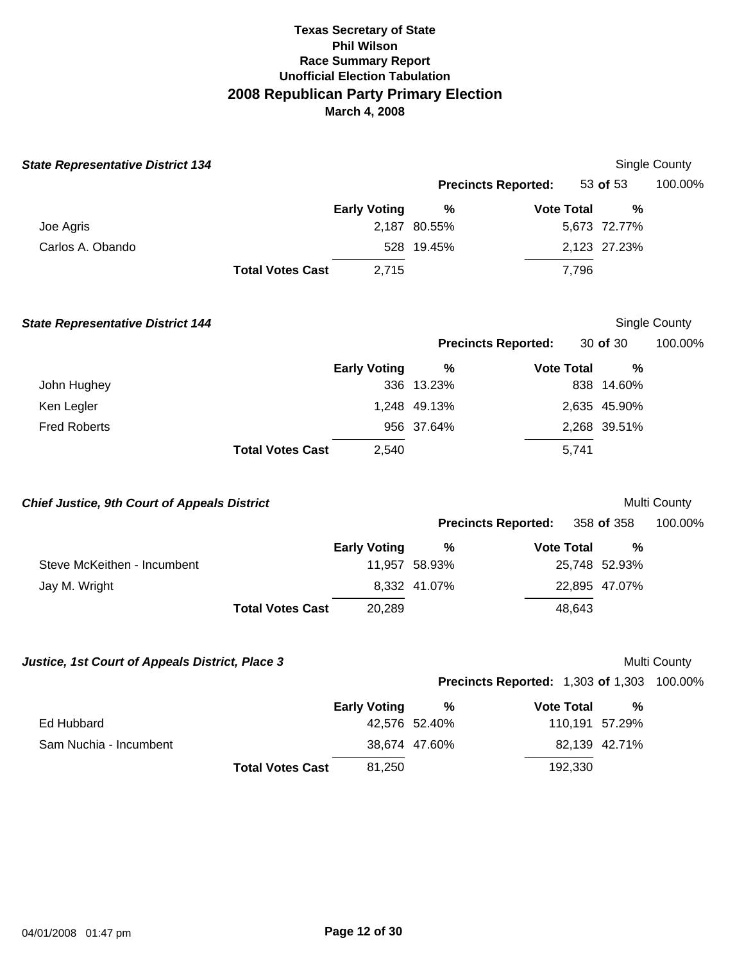| <b>State Representative District 134</b>            |                         |                     |               |                                                   |                | Single County |
|-----------------------------------------------------|-------------------------|---------------------|---------------|---------------------------------------------------|----------------|---------------|
|                                                     |                         |                     |               | <b>Precincts Reported:</b>                        | 53 of 53       | 100.00%       |
|                                                     |                         | <b>Early Voting</b> | $\frac{0}{0}$ | <b>Vote Total</b>                                 | $\%$           |               |
| Joe Agris                                           |                         |                     | 2,187 80.55%  |                                                   | 5,673 72.77%   |               |
| Carlos A. Obando                                    |                         |                     | 528 19.45%    |                                                   | 2,123 27.23%   |               |
|                                                     | <b>Total Votes Cast</b> | 2,715               |               | 7,796                                             |                |               |
| <b>State Representative District 144</b>            |                         |                     |               |                                                   |                | Single County |
|                                                     |                         |                     |               | <b>Precincts Reported:</b>                        | 30 of 30       | 100.00%       |
|                                                     |                         | <b>Early Voting</b> | $\%$          | <b>Vote Total</b>                                 | %              |               |
| John Hughey                                         |                         |                     | 336 13.23%    |                                                   | 838 14.60%     |               |
| Ken Legler                                          |                         |                     | 1,248 49.13%  |                                                   | 2,635 45.90%   |               |
| <b>Fred Roberts</b>                                 |                         |                     | 956 37.64%    |                                                   | 2,268 39.51%   |               |
|                                                     | <b>Total Votes Cast</b> | 2,540               |               | 5,741                                             |                |               |
| <b>Chief Justice, 9th Court of Appeals District</b> |                         |                     |               |                                                   |                | Multi County  |
|                                                     |                         |                     |               | <b>Precincts Reported:</b>                        | 358 of 358     | 100.00%       |
|                                                     |                         | <b>Early Voting</b> | %             | <b>Vote Total</b>                                 | $\frac{0}{0}$  |               |
| Steve McKeithen - Incumbent                         |                         |                     | 11,957 58.93% |                                                   | 25,748 52.93%  |               |
| Jay M. Wright                                       |                         |                     | 8,332 41.07%  |                                                   | 22,895 47.07%  |               |
|                                                     | <b>Total Votes Cast</b> | 20,289              |               | 48,643                                            |                |               |
| Justice, 1st Court of Appeals District, Place 3     |                         |                     |               |                                                   |                | Multi County  |
|                                                     |                         |                     |               | <b>Precincts Reported: 1,303 of 1,303 100.00%</b> |                |               |
|                                                     |                         | <b>Early Voting</b> | %             | <b>Vote Total</b>                                 | $\frac{0}{0}$  |               |
| Ed Hubbard                                          |                         |                     | 42,576 52.40% |                                                   | 110,191 57.29% |               |
| Sam Nuchia - Incumbent                              |                         |                     | 38,674 47.60% |                                                   | 82,139 42.71%  |               |
|                                                     | <b>Total Votes Cast</b> | 81,250              |               | 192,330                                           |                |               |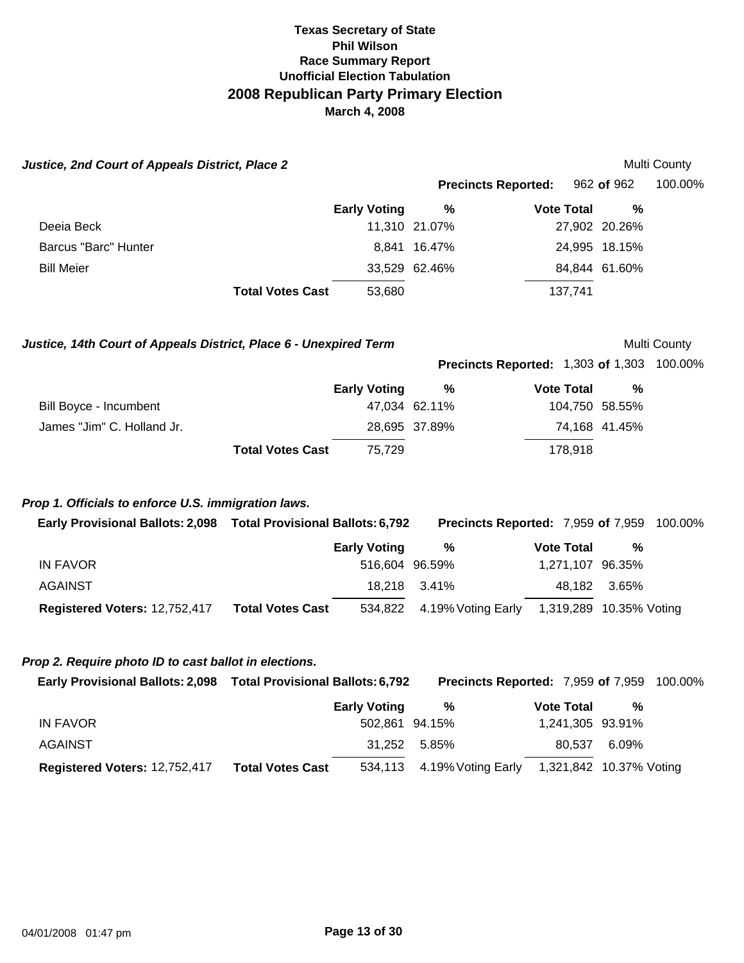| Justice, 2nd Court of Appeals District, Place 2                    |                         |                     |                                                   |                         |               | Multi County |
|--------------------------------------------------------------------|-------------------------|---------------------|---------------------------------------------------|-------------------------|---------------|--------------|
|                                                                    |                         |                     | <b>Precincts Reported:</b>                        |                         | 962 of 962    | 100.00%      |
|                                                                    |                         | <b>Early Voting</b> | %                                                 | <b>Vote Total</b>       | %             |              |
| Deeia Beck                                                         |                         |                     | 11,310 21.07%                                     |                         | 27,902 20.26% |              |
| <b>Barcus "Barc" Hunter</b>                                        |                         |                     | 8,841 16.47%                                      |                         | 24,995 18.15% |              |
| <b>Bill Meier</b>                                                  |                         |                     | 33,529 62.46%                                     |                         | 84,844 61.60% |              |
|                                                                    | <b>Total Votes Cast</b> | 53,680              |                                                   | 137,741                 |               |              |
| Justice, 14th Court of Appeals District, Place 6 - Unexpired Term  |                         |                     |                                                   |                         |               | Multi County |
|                                                                    |                         |                     | <b>Precincts Reported: 1,303 of 1,303 100.00%</b> |                         |               |              |
|                                                                    |                         | <b>Early Voting</b> | %                                                 | <b>Vote Total</b>       | $\frac{0}{0}$ |              |
| Bill Boyce - Incumbent                                             |                         |                     | 47,034 62.11%                                     | 104,750 58.55%          |               |              |
| James "Jim" C. Holland Jr.                                         |                         |                     | 28,695 37.89%                                     |                         | 74,168 41.45% |              |
|                                                                    | <b>Total Votes Cast</b> | 75,729              |                                                   | 178,918                 |               |              |
| Prop 1. Officials to enforce U.S. immigration laws.                |                         |                     |                                                   |                         |               |              |
| Early Provisional Ballots: 2,098  Total Provisional Ballots: 6,792 |                         |                     | <b>Precincts Reported: 7,959 of 7,959 100.00%</b> |                         |               |              |
|                                                                    |                         | <b>Early Voting</b> | $\%$                                              | <b>Vote Total</b>       | %             |              |
| <b>IN FAVOR</b>                                                    |                         | 516,604 96.59%      |                                                   | 1,271,107 96.35%        |               |              |
| <b>AGAINST</b>                                                     |                         | 18,218              | 3.41%                                             | 48,182                  | 3.65%         |              |
| Registered Voters: 12,752,417                                      | <b>Total Votes Cast</b> | 534,822             | 4.19% Voting Early 1,319,289 10.35% Voting        |                         |               |              |
| Prop 2. Require photo ID to cast ballot in elections.              |                         |                     |                                                   |                         |               |              |
| Early Provisional Ballots: 2,098  Total Provisional Ballots: 6,792 |                         |                     | Precincts Reported: 7,959 of 7,959                |                         |               | 100.00%      |
|                                                                    |                         | <b>Early Voting</b> | $\%$                                              | <b>Vote Total</b>       | %             |              |
| <b>IN FAVOR</b>                                                    |                         | 502,861 94.15%      |                                                   | 1,241,305 93.91%        |               |              |
| AGAINST                                                            |                         | 31,252              | 5.85%                                             | 80,537                  | 6.09%         |              |
| Registered Voters: 12,752,417                                      | <b>Total Votes Cast</b> | 534,113             | 4.19% Voting Early                                | 1,321,842 10.37% Voting |               |              |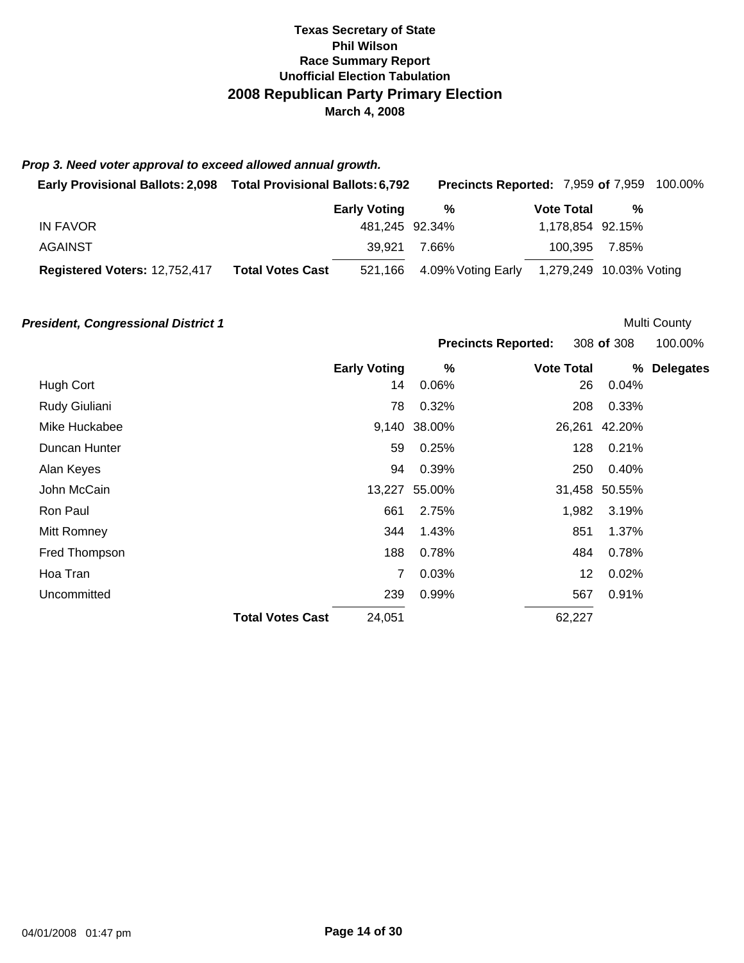#### *Prop 3. Need voter approval to exceed allowed annual growth.*

| <b>Early Provisional Ballots: 2,098</b> | <b>Total Provisional Ballots: 6,792</b> | <b>Precincts Reported: 7,959 of 7,959 100.00%</b> |                   |                         |  |
|-----------------------------------------|-----------------------------------------|---------------------------------------------------|-------------------|-------------------------|--|
|                                         | <b>Early Voting</b>                     | %                                                 | <b>Vote Total</b> | %                       |  |
| IN FAVOR                                |                                         | 481.245 92.34%                                    | 1,178,854 92.15%  |                         |  |
| AGAINST                                 | 39.921                                  | 7.66%                                             | 100.395 7.85%     |                         |  |
| Registered Voters: 12,752,417           | <b>Total Votes Cast</b>                 | 521,166 4.09% Voting Early                        |                   | 1,279,249 10.03% Voting |  |

#### **President, Congressional District 1 President, Congressional District 1**

**Precincts Reported:** 308 **of** 308 100.00% **Early Voting % Vote Total % Delegates**  Hugh Cort 14 0.06% 26 0.04% Rudy Giuliani 78 0.32% 208 0.33% Mike Huckabee 9,140 38.00% 26,261 42.20%

|               | <b>Total Votes Cast</b> | 24,051 |               | 62,227 |               |
|---------------|-------------------------|--------|---------------|--------|---------------|
| Uncommitted   |                         | 239    | 0.99%         | 567    | 0.91%         |
| Hoa Tran      |                         | 7      | 0.03%         | 12     | 0.02%         |
| Fred Thompson |                         | 188    | 0.78%         | 484    | 0.78%         |
| Mitt Romney   |                         | 344    | 1.43%         | 851    | 1.37%         |
| Ron Paul      |                         | 661    | 2.75%         | 1,982  | 3.19%         |
| John McCain   |                         |        | 13,227 55.00% |        | 31,458 50.55% |
| Alan Keyes    |                         | 94     | 0.39%         | 250    | 0.40%         |
| Duncan Hunter |                         | 59     | 0.25%         | 128    | 0.21%         |
| .             |                         |        |               | ----   | .             |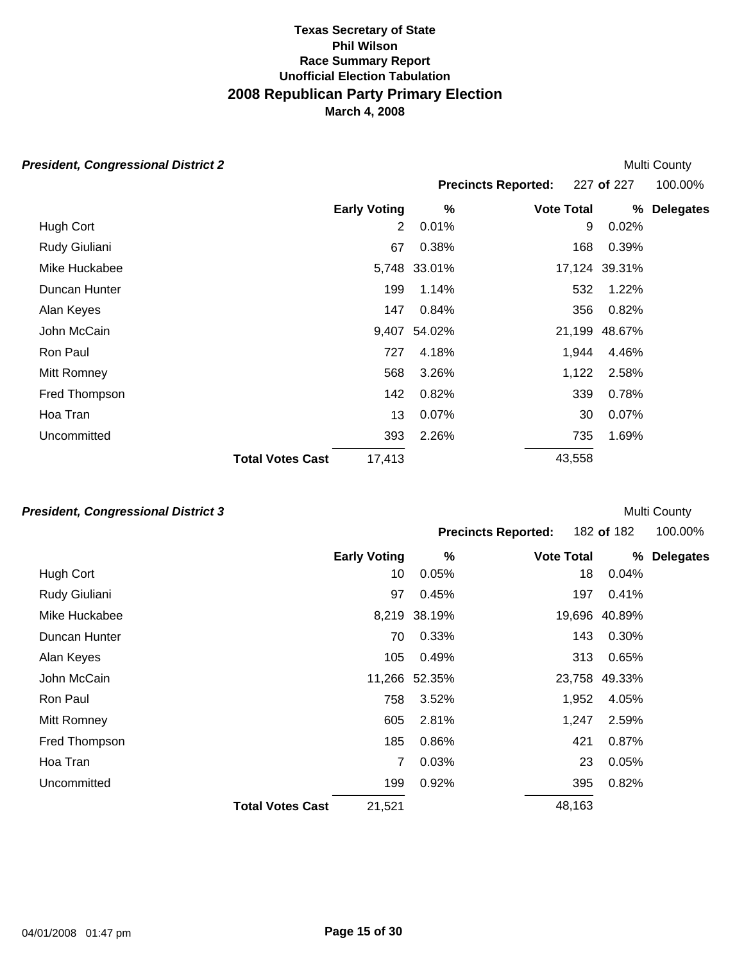# *President, Congressional District 2*

| esident, Congressional District 2 |                         |                     |              |                            |        |               | Multi County     |
|-----------------------------------|-------------------------|---------------------|--------------|----------------------------|--------|---------------|------------------|
|                                   |                         |                     |              | <b>Precincts Reported:</b> |        | 227 of 227    | 100.00%          |
|                                   |                         | <b>Early Voting</b> | %            | <b>Vote Total</b>          |        | %             | <b>Delegates</b> |
| Hugh Cort                         |                         | 2                   | 0.01%        |                            | 9      | 0.02%         |                  |
| Rudy Giuliani                     |                         | 67                  | 0.38%        |                            | 168    | 0.39%         |                  |
| Mike Huckabee                     |                         |                     | 5,748 33.01% |                            |        | 17,124 39.31% |                  |
| Duncan Hunter                     |                         | 199                 | 1.14%        |                            | 532    | 1.22%         |                  |
| Alan Keyes                        |                         | 147                 | 0.84%        |                            | 356    | 0.82%         |                  |
| John McCain                       |                         | 9,407               | 54.02%       |                            | 21,199 | 48.67%        |                  |
| Ron Paul                          |                         | 727                 | 4.18%        |                            | 1,944  | 4.46%         |                  |
| Mitt Romney                       |                         | 568                 | 3.26%        |                            | 1,122  | 2.58%         |                  |
| Fred Thompson                     |                         | 142                 | 0.82%        |                            | 339    | 0.78%         |                  |
| Hoa Tran                          |                         | 13                  | 0.07%        |                            | 30     | 0.07%         |                  |
| Uncommitted                       |                         | 393                 | 2.26%        |                            | 735    | 1.69%         |                  |
|                                   | <b>Total Votes Cast</b> | 17,413              |              | 43,558                     |        |               |                  |

### *President, Congressional District 3*

| <b>Precincts Reported:</b> | 182 of 182 | 100.00% |
|----------------------------|------------|---------|
|                            |            |         |

|  | 100.00% |
|--|---------|
|--|---------|

|               | <b>Early Voting</b>               |     | $\%$          | <b>Vote Total</b> | %             | <b>Delegates</b> |
|---------------|-----------------------------------|-----|---------------|-------------------|---------------|------------------|
| Hugh Cort     |                                   | 10  | 0.05%         | 18                | 0.04%         |                  |
| Rudy Giuliani |                                   | 97  | 0.45%         | 197               | 0.41%         |                  |
| Mike Huckabee |                                   |     | 8,219 38.19%  |                   | 19,696 40.89% |                  |
| Duncan Hunter |                                   | 70  | 0.33%         | 143               | 0.30%         |                  |
| Alan Keyes    |                                   | 105 | 0.49%         | 313               | 0.65%         |                  |
| John McCain   |                                   |     | 11,266 52.35% |                   | 23,758 49.33% |                  |
| Ron Paul      |                                   | 758 | 3.52%         | 1,952             | 4.05%         |                  |
| Mitt Romney   |                                   | 605 | 2.81%         | 1,247             | 2.59%         |                  |
| Fred Thompson |                                   | 185 | 0.86%         | 421               | 0.87%         |                  |
| Hoa Tran      |                                   | 7   | 0.03%         | 23                | 0.05%         |                  |
| Uncommitted   |                                   | 199 | 0.92%         | 395               | 0.82%         |                  |
|               | <b>Total Votes Cast</b><br>21,521 |     |               | 48,163            |               |                  |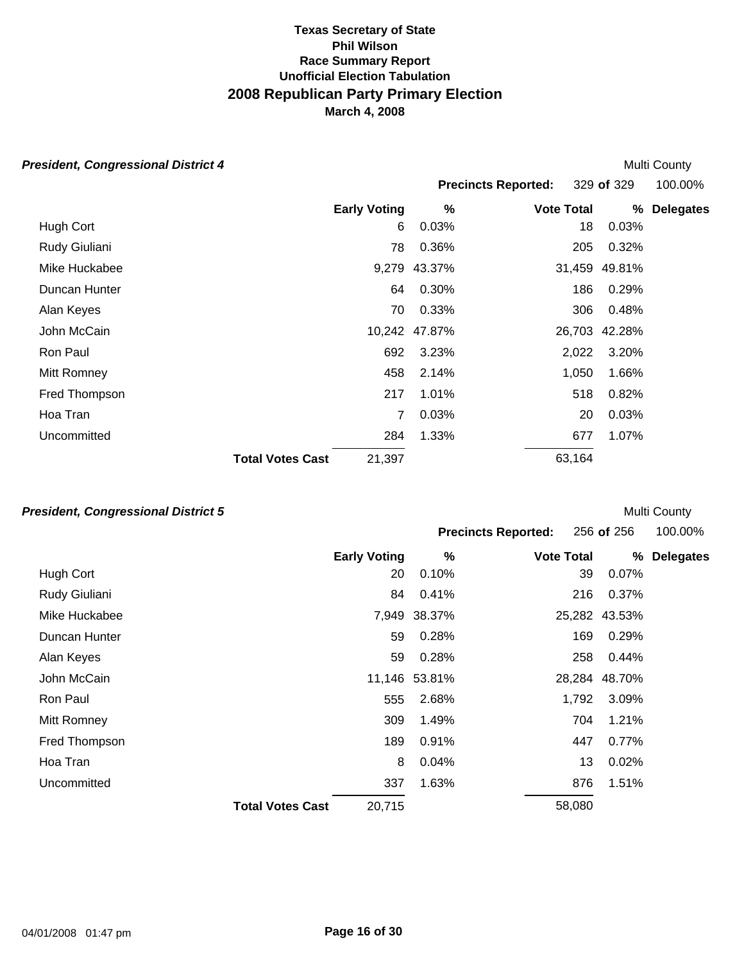# *President, Congressional District 4*

| esident, Congressional District 4 |                         |                     |        |                            |        |            | Multi County     |
|-----------------------------------|-------------------------|---------------------|--------|----------------------------|--------|------------|------------------|
|                                   |                         |                     |        | <b>Precincts Reported:</b> |        | 329 of 329 | 100.00%          |
|                                   |                         | <b>Early Voting</b> | %      | <b>Vote Total</b>          |        | %          | <b>Delegates</b> |
| Hugh Cort                         |                         | 6                   | 0.03%  |                            | 18     | 0.03%      |                  |
| Rudy Giuliani                     |                         | 78                  | 0.36%  |                            | 205    | 0.32%      |                  |
| Mike Huckabee                     |                         | 9,279               | 43.37% |                            | 31,459 | 49.81%     |                  |
| Duncan Hunter                     |                         | 64                  | 0.30%  |                            | 186    | 0.29%      |                  |
| Alan Keyes                        |                         | 70                  | 0.33%  |                            | 306    | 0.48%      |                  |
| John McCain                       |                         | 10,242              | 47.87% |                            | 26,703 | 42.28%     |                  |
| Ron Paul                          |                         | 692                 | 3.23%  |                            | 2,022  | 3.20%      |                  |
| Mitt Romney                       |                         | 458                 | 2.14%  |                            | 1,050  | 1.66%      |                  |
| Fred Thompson                     |                         | 217                 | 1.01%  |                            | 518    | 0.82%      |                  |
| Hoa Tran                          |                         | 7                   | 0.03%  |                            | 20     | 0.03%      |                  |
| Uncommitted                       |                         | 284                 | 1.33%  |                            | 677    | 1.07%      |                  |
|                                   | <b>Total Votes Cast</b> | 21,397              |        |                            | 63,164 |            |                  |

### *President, Congressional District 5*

|               |                         |                     |               | <b>Precincts Reported:</b> | 256 of 256    | 100.00%          |
|---------------|-------------------------|---------------------|---------------|----------------------------|---------------|------------------|
|               |                         | <b>Early Voting</b> | %             | <b>Vote Total</b>          | %             | <b>Delegates</b> |
| Hugh Cort     |                         | 20                  | 0.10%         | 39                         | 0.07%         |                  |
| Rudy Giuliani |                         | 84                  | 0.41%         | 216                        | 0.37%         |                  |
| Mike Huckabee |                         | 7,949               | 38.37%        |                            | 25,282 43.53% |                  |
| Duncan Hunter |                         | 59                  | 0.28%         | 169                        | 0.29%         |                  |
| Alan Keyes    |                         | 59                  | 0.28%         | 258                        | 0.44%         |                  |
| John McCain   |                         |                     | 11,146 53.81% |                            | 28,284 48.70% |                  |
| Ron Paul      |                         | 555                 | 2.68%         | 1,792                      | 3.09%         |                  |
| Mitt Romney   |                         | 309                 | 1.49%         | 704                        | 1.21%         |                  |
| Fred Thompson |                         | 189                 | 0.91%         | 447                        | 0.77%         |                  |
| Hoa Tran      |                         | 8                   | 0.04%         | 13                         | 0.02%         |                  |
| Uncommitted   |                         | 337                 | 1.63%         | 876                        | 1.51%         |                  |
|               | <b>Total Votes Cast</b> | 20,715              |               | 58,080                     |               |                  |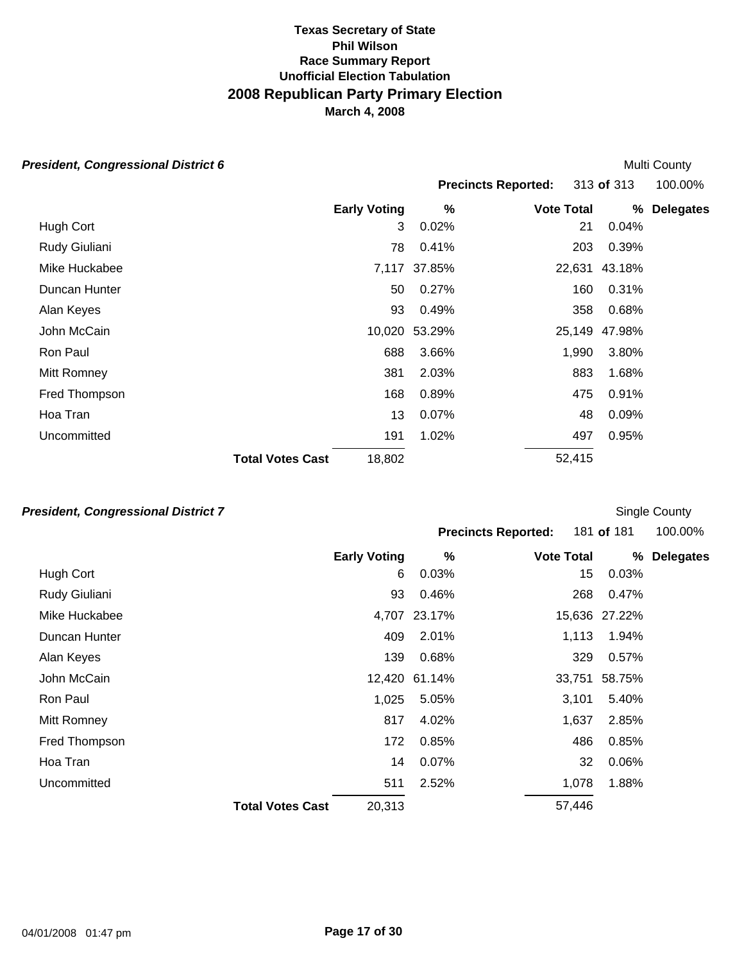#### *President, Congressional District 6*

Hugh Cort Rudy Giuliani Mike Huckabee Duncan Hunter Alan Keyes John McCain Ron Paul Mitt Romney Fred Thompson Hoa Tran **Uncommitted Early Voting**  3 78 7,117 37.85% 50 93 10.020 53.29% 688 381 168 13 191 **Total Votes Cast** 18,802 Multi County **Precincts Reported:** 313 **of** 313 100.00% **% Vote Total % Delegates**  0.02% 21 0.04% 0.41% 203 0.39% 37.85% 22,631 43.18% 0.27% 160 0.31% 0.49% 358 0.68% 53.29% 25,149 47.98% 3.66% 1,990 3.80% 2.03% 883 1.68% 0.89% 475 0.91% 0.07% 48 0.09% 1.02% 497 0.95% 52,415

### *President, Congressional District 7*

Single County

| <b>Precincts Reported:</b> | 181 of 18 |
|----------------------------|-----------|
|                            |           |

**Precincts Reported:** 181 **of** 181 100.00%

|               | <b>Early Voting</b>               | %             | <b>Vote Total</b> | %             | <b>Delegates</b> |
|---------------|-----------------------------------|---------------|-------------------|---------------|------------------|
| Hugh Cort     |                                   | 0.03%<br>6    | 15                | 0.03%         |                  |
| Rudy Giuliani | 93                                | 0.46%         | 268               | 0.47%         |                  |
| Mike Huckabee |                                   | 4,707 23.17%  |                   | 15,636 27.22% |                  |
| Duncan Hunter | 409                               | 2.01%         | 1,113             | 1.94%         |                  |
| Alan Keyes    | 139                               | 0.68%         | 329               | 0.57%         |                  |
| John McCain   |                                   | 12,420 61.14% | 33,751            | 58.75%        |                  |
| Ron Paul      | 1,025                             | 5.05%         | 3,101             | 5.40%         |                  |
| Mitt Romney   | 817                               | 4.02%         | 1,637             | 2.85%         |                  |
| Fred Thompson | 172                               | 0.85%         | 486               | 0.85%         |                  |
| Hoa Tran      | 14                                | 0.07%         | 32                | 0.06%         |                  |
| Uncommitted   | 511                               | 2.52%         | 1,078             | 1.88%         |                  |
|               | 20,313<br><b>Total Votes Cast</b> |               | 57,446            |               |                  |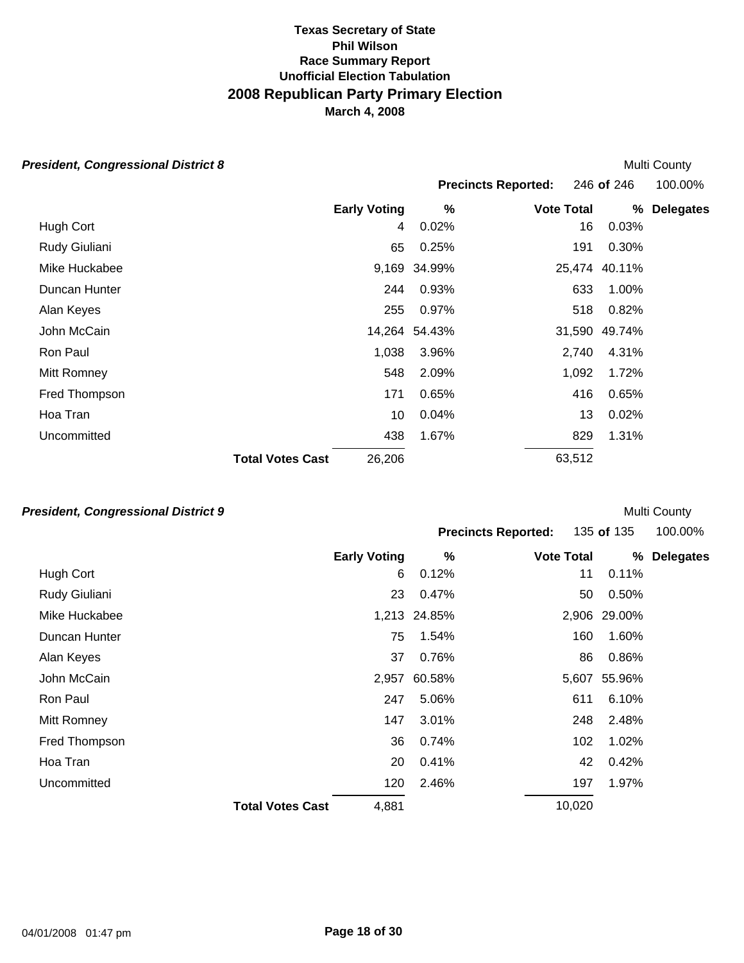#### *President, Congressional District 8*

Hugh Cort Rudy Giuliani Mike Huckabee Duncan Hunter Alan Keyes John McCain Ron Paul Mitt Romney Fred Thompson Hoa Tran **Uncommitted Early Voting**  4 65 9,169 34.99% 244 0.93% 255 14,264 54.43% 1,038 548 171 10 438 **Total Votes Cast** 26,206 Multi County **Precincts Reported:** 246 **of** 246 100.00% **% Vote Total % Delegates**  0.02% 16 0.03% 0.25% 191 0.30% 34.99% 25,474 40.11% 0.93% 633 1.00% 0.97% 518 0.82% 54.43% 31,590 49.74% 3.96% 2,740 4.31% 2.09% 1,092 1.72% 0.65% 416 0.65% 0.04% 13 0.02% 1.67% 829 1.31% 63,512

### *President, Congressional District 9*

|               |                         |                     |              | <b>Precincts Reported:</b> | 135 of 135 |              | 100.00%          |  |
|---------------|-------------------------|---------------------|--------------|----------------------------|------------|--------------|------------------|--|
|               |                         | <b>Early Voting</b> | %            | <b>Vote Total</b>          |            | %            | <b>Delegates</b> |  |
| Hugh Cort     |                         | 6                   | 0.12%        |                            | 11         | 0.11%        |                  |  |
| Rudy Giuliani |                         | 23                  | 0.47%        |                            | 50         | 0.50%        |                  |  |
| Mike Huckabee |                         |                     | 1,213 24.85% |                            |            | 2,906 29.00% |                  |  |
| Duncan Hunter |                         | 75                  | 1.54%        |                            | 160        | 1.60%        |                  |  |
| Alan Keyes    |                         | 37                  | 0.76%        |                            | 86         | 0.86%        |                  |  |
| John McCain   |                         | 2,957               | 60.58%       |                            |            | 5,607 55.96% |                  |  |
| Ron Paul      |                         | 247                 | 5.06%        |                            | 611        | 6.10%        |                  |  |
| Mitt Romney   |                         | 147                 | 3.01%        |                            | 248        | 2.48%        |                  |  |
| Fred Thompson |                         | 36                  | 0.74%        |                            | 102        | 1.02%        |                  |  |
| Hoa Tran      |                         | 20                  | 0.41%        |                            | 42         | 0.42%        |                  |  |
| Uncommitted   |                         | 120                 | 2.46%        |                            | 197        | 1.97%        |                  |  |
|               | <b>Total Votes Cast</b> | 4,881               |              |                            | 10,020     |              |                  |  |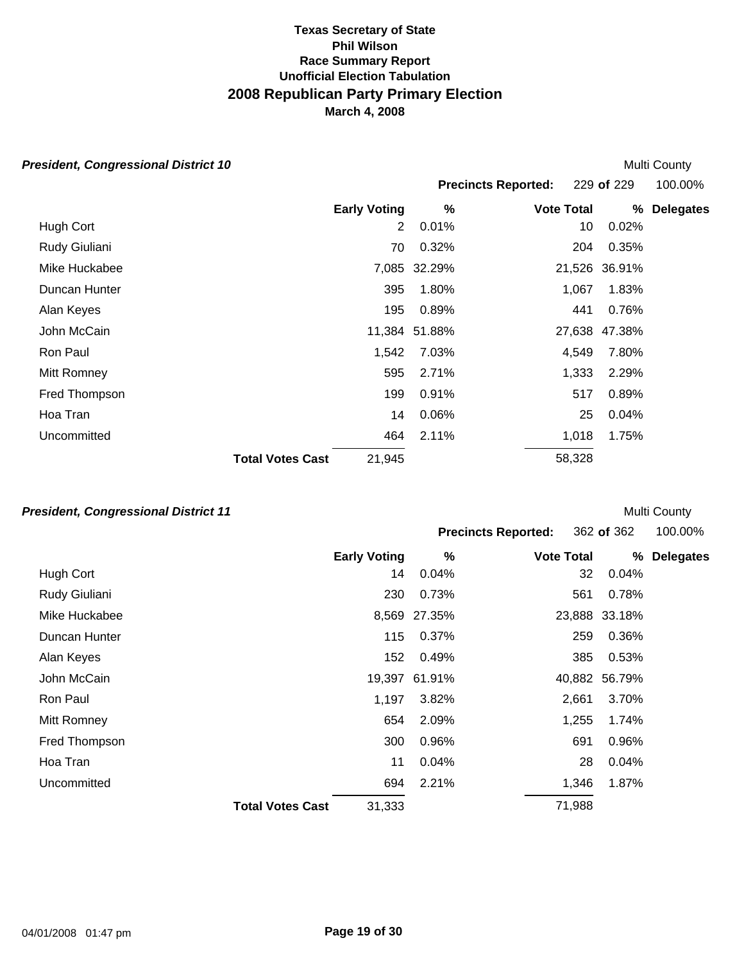# *President, Congressional District 10*

| esident, Congressional District 10 |                         |                     |               |                            |        |               | Multi County     |
|------------------------------------|-------------------------|---------------------|---------------|----------------------------|--------|---------------|------------------|
|                                    |                         |                     |               | <b>Precincts Reported:</b> |        | 229 of 229    | 100.00%          |
|                                    |                         | <b>Early Voting</b> | %             | <b>Vote Total</b>          |        | %             | <b>Delegates</b> |
| Hugh Cort                          |                         | 2                   | 0.01%         |                            | 10     | 0.02%         |                  |
| Rudy Giuliani                      |                         | 70                  | 0.32%         |                            | 204    | 0.35%         |                  |
| Mike Huckabee                      |                         |                     | 7,085 32.29%  |                            |        | 21,526 36.91% |                  |
| Duncan Hunter                      |                         | 395                 | 1.80%         |                            | 1,067  | 1.83%         |                  |
| Alan Keyes                         |                         | 195                 | 0.89%         |                            | 441    | 0.76%         |                  |
| John McCain                        |                         |                     | 11,384 51.88% |                            | 27,638 | 47.38%        |                  |
| Ron Paul                           |                         | 1,542               | 7.03%         |                            | 4,549  | 7.80%         |                  |
| Mitt Romney                        |                         | 595                 | 2.71%         |                            | 1,333  | 2.29%         |                  |
| Fred Thompson                      |                         | 199                 | 0.91%         |                            | 517    | 0.89%         |                  |
| Hoa Tran                           |                         | 14                  | 0.06%         |                            | 25     | 0.04%         |                  |
| Uncommitted                        |                         | 464                 | 2.11%         |                            | 1,018  | 1.75%         |                  |
|                                    | <b>Total Votes Cast</b> | 21,945              |               |                            | 58,328 |               |                  |

### *President, Congressional District 11*

| <b>Precincts Reported:</b> |                   | 362 of 362 | 100.00%     |
|----------------------------|-------------------|------------|-------------|
| %                          | <b>Vote Total</b> |            | % Delegates |

|               | <b>Early Voting</b>     |        | %             | <b>Vote Total</b> | %             | <b>Delegates</b> |
|---------------|-------------------------|--------|---------------|-------------------|---------------|------------------|
| Hugh Cort     |                         | 14     | 0.04%         | 32                | 0.04%         |                  |
| Rudy Giuliani |                         | 230    | 0.73%         | 561               | 0.78%         |                  |
| Mike Huckabee |                         |        | 8,569 27.35%  |                   | 23,888 33.18% |                  |
| Duncan Hunter |                         | 115    | 0.37%         | 259               | 0.36%         |                  |
| Alan Keyes    |                         | 152    | 0.49%         | 385               | 0.53%         |                  |
| John McCain   |                         |        | 19,397 61.91% |                   | 40,882 56.79% |                  |
| Ron Paul      |                         | 1,197  | 3.82%         | 2,661             | 3.70%         |                  |
| Mitt Romney   |                         | 654    | 2.09%         | 1,255             | 1.74%         |                  |
| Fred Thompson |                         | 300    | 0.96%         | 691               | 0.96%         |                  |
| Hoa Tran      |                         | 11     | 0.04%         | 28                | 0.04%         |                  |
| Uncommitted   |                         | 694    | 2.21%         | 1,346             | 1.87%         |                  |
|               | <b>Total Votes Cast</b> | 31,333 |               | 71,988            |               |                  |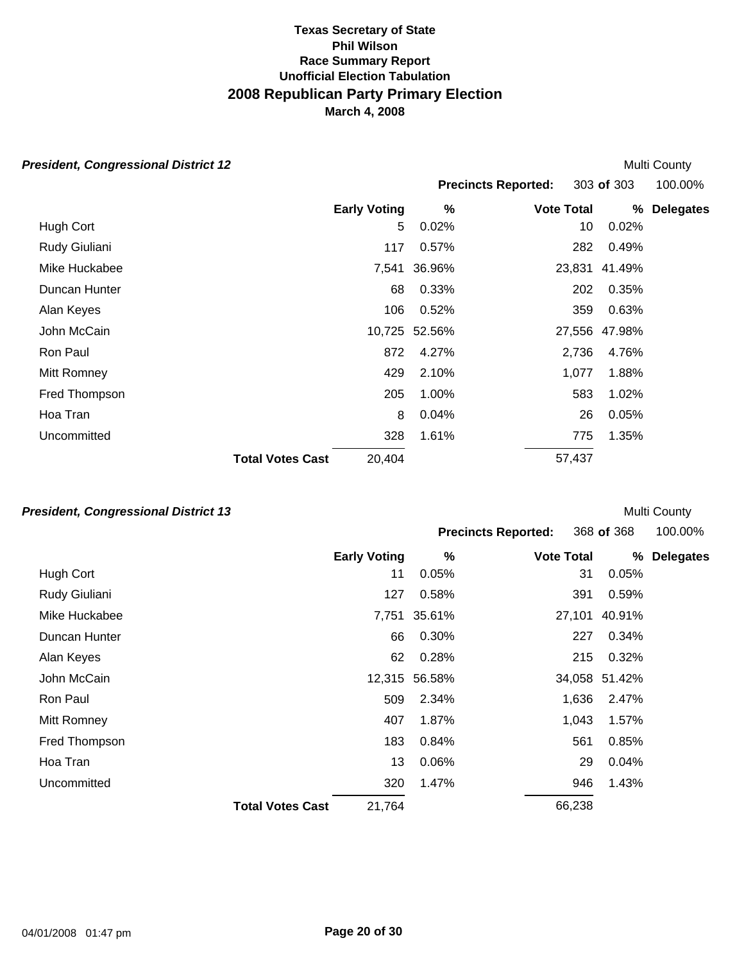# *President, Congressional District 12*

| esident, Congressional District 12 |                         |                     |               |                            |             | <b>Multi County</b> |
|------------------------------------|-------------------------|---------------------|---------------|----------------------------|-------------|---------------------|
|                                    |                         |                     |               | <b>Precincts Reported:</b> | 303 of 303  | 100.00%             |
|                                    |                         | <b>Early Voting</b> | %             | <b>Vote Total</b>          | %           | <b>Delegates</b>    |
| Hugh Cort                          |                         | 5                   | 0.02%         |                            | 0.02%<br>10 |                     |
| Rudy Giuliani                      |                         | 117                 | 0.57%         | 282                        | 0.49%       |                     |
| Mike Huckabee                      |                         | 7,541               | 36.96%        | 23,831                     | 41.49%      |                     |
| Duncan Hunter                      |                         | 68                  | 0.33%         | 202                        | 0.35%       |                     |
| Alan Keyes                         |                         | 106                 | 0.52%         | 359                        | 0.63%       |                     |
| John McCain                        |                         |                     | 10,725 52.56% | 27,556                     | 47.98%      |                     |
| Ron Paul                           |                         | 872                 | 4.27%         | 2,736                      | 4.76%       |                     |
| Mitt Romney                        |                         | 429                 | 2.10%         | 1,077                      | 1.88%       |                     |
| Fred Thompson                      |                         | 205                 | 1.00%         | 583                        | 1.02%       |                     |
| Hoa Tran                           |                         | 8                   | 0.04%         |                            | 0.05%<br>26 |                     |
| Uncommitted                        |                         | 328                 | 1.61%         | 775                        | 1.35%       |                     |
|                                    | <b>Total Votes Cast</b> | 20,404              |               | 57,437                     |             |                     |

# *President, Congressional District 13*

|               |                         |                     |               | <b>Precincts Reported:</b> | 368 of 368    |                  |
|---------------|-------------------------|---------------------|---------------|----------------------------|---------------|------------------|
|               |                         | <b>Early Voting</b> | %             | <b>Vote Total</b>          | %             | <b>Delegates</b> |
| Hugh Cort     |                         | 11                  | 0.05%         | 31                         | 0.05%         |                  |
| Rudy Giuliani |                         | 127                 | 0.58%         | 391                        | 0.59%         |                  |
| Mike Huckabee |                         | 7,751               | 35.61%        | 27,101                     | 40.91%        |                  |
| Duncan Hunter |                         | 66                  | 0.30%         | 227                        | 0.34%         |                  |
| Alan Keyes    |                         | 62                  | 0.28%         | 215                        | 0.32%         |                  |
| John McCain   |                         |                     | 12,315 56.58% |                            | 34,058 51.42% |                  |
| Ron Paul      |                         | 509                 | 2.34%         | 1,636                      | 2.47%         |                  |
| Mitt Romney   |                         | 407                 | 1.87%         | 1,043                      | 1.57%         |                  |
| Fred Thompson |                         | 183                 | 0.84%         | 561                        | 0.85%         |                  |
| Hoa Tran      |                         | 13                  | 0.06%         | 29                         | 0.04%         |                  |
| Uncommitted   |                         | 320                 | 1.47%         | 946                        | 1.43%         |                  |
|               | <b>Total Votes Cast</b> | 21,764              |               | 66,238                     |               |                  |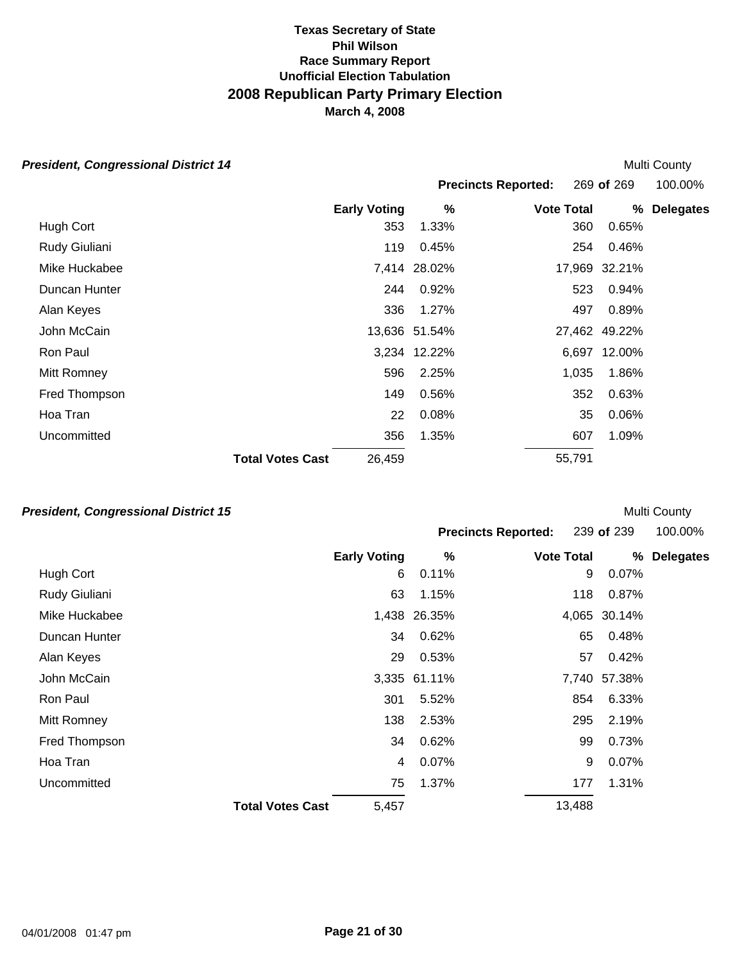# *President, Congressional District 14*

| sident, Congressional District 14 |                         |        |               |                            |               | <b>Multi County</b> |  |
|-----------------------------------|-------------------------|--------|---------------|----------------------------|---------------|---------------------|--|
|                                   |                         |        |               | <b>Precincts Reported:</b> | 269 of 269    | 100.00%             |  |
|                                   | <b>Early Voting</b>     |        | %             | <b>Vote Total</b>          | %             | <b>Delegates</b>    |  |
| Hugh Cort                         |                         | 353    | 1.33%         |                            | 0.65%<br>360  |                     |  |
| Rudy Giuliani                     |                         | 119    | 0.45%         |                            | 0.46%<br>254  |                     |  |
| Mike Huckabee                     |                         |        | 7,414 28.02%  |                            | 17,969 32.21% |                     |  |
| Duncan Hunter                     |                         | 244    | 0.92%         |                            | 0.94%<br>523  |                     |  |
| Alan Keyes                        |                         | 336    | 1.27%         |                            | 0.89%<br>497  |                     |  |
| John McCain                       |                         |        | 13,636 51.54% |                            | 27,462 49.22% |                     |  |
| Ron Paul                          |                         |        | 3,234 12.22%  |                            | 6,697 12.00%  |                     |  |
| Mitt Romney                       |                         | 596    | 2.25%         | 1,035                      | 1.86%         |                     |  |
| Fred Thompson                     |                         | 149    | 0.56%         |                            | 0.63%<br>352  |                     |  |
| Hoa Tran                          |                         | 22     | 0.08%         |                            | 0.06%<br>35   |                     |  |
| Uncommitted                       |                         | 356    | 1.35%         |                            | 1.09%<br>607  |                     |  |
|                                   | <b>Total Votes Cast</b> | 26,459 |               | 55,791                     |               |                     |  |

### *President, Congressional District 15*

|                         |       |                     |                              |                            |                             | 100.00%                                    |
|-------------------------|-------|---------------------|------------------------------|----------------------------|-----------------------------|--------------------------------------------|
|                         |       | $\%$                |                              |                            | %                           | <b>Delegates</b>                           |
|                         | 6     | 0.11%               |                              | 9                          | 0.07%                       |                                            |
|                         | 63    | 1.15%               |                              | 118                        | 0.87%                       |                                            |
|                         |       |                     |                              |                            |                             |                                            |
|                         | 34    | 0.62%               |                              | 65                         | 0.48%                       |                                            |
|                         | 29    | 0.53%               |                              | 57                         | 0.42%                       |                                            |
|                         |       |                     |                              |                            |                             |                                            |
|                         | 301   | 5.52%               |                              | 854                        | 6.33%                       |                                            |
|                         | 138   | 2.53%               |                              | 295                        | 2.19%                       |                                            |
|                         | 34    | 0.62%               |                              | 99                         | 0.73%                       |                                            |
|                         | 4     | 0.07%               |                              | 9                          | 0.07%                       |                                            |
|                         | 75    | 1.37%               |                              | 177                        | 1.31%                       |                                            |
| <b>Total Votes Cast</b> | 5,457 |                     |                              |                            |                             |                                            |
|                         |       | <b>Early Voting</b> | 1,438 26.35%<br>3,335 61.11% | <b>Precincts Reported:</b> | <b>Vote Total</b><br>13,488 | 239 of 239<br>4,065 30.14%<br>7,740 57.38% |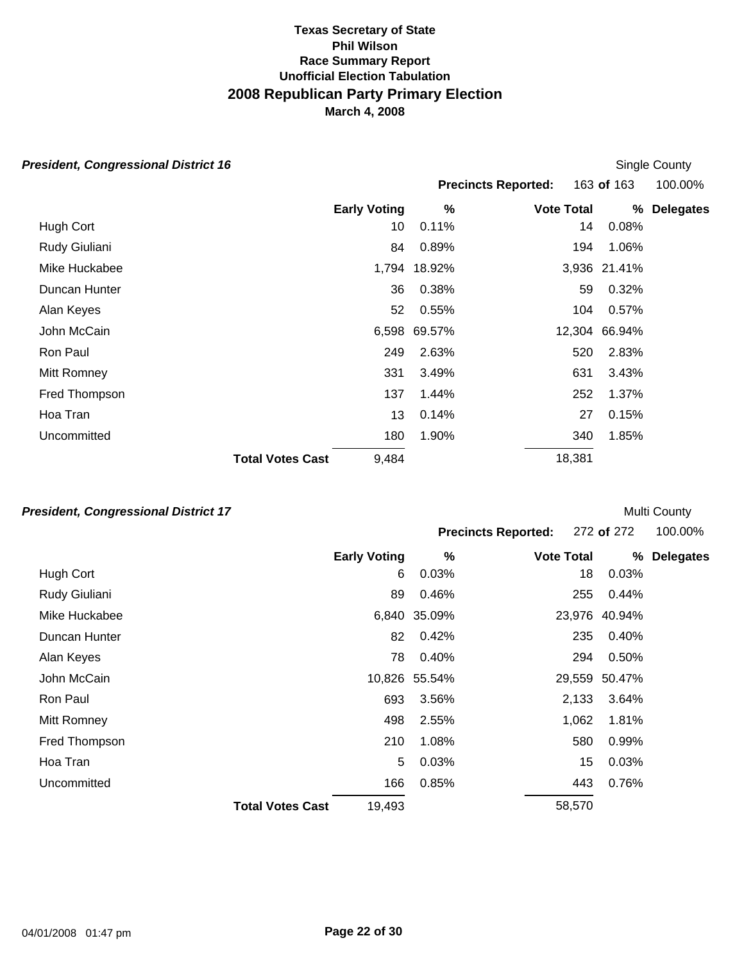| <b>President, Congressional District 16</b> |                         |                     |              |                            |               | Single County    |
|---------------------------------------------|-------------------------|---------------------|--------------|----------------------------|---------------|------------------|
|                                             |                         |                     |              | <b>Precincts Reported:</b> | 163 of 163    | 100.00%          |
|                                             |                         | <b>Early Voting</b> | %            | <b>Vote Total</b>          | %             | <b>Delegates</b> |
| Hugh Cort                                   |                         | 10                  | 0.11%        |                            | 14<br>0.08%   |                  |
| Rudy Giuliani                               |                         | 84                  | 0.89%        |                            | 1.06%<br>194  |                  |
| Mike Huckabee                               |                         |                     | 1,794 18.92% |                            | 3,936 21.41%  |                  |
| Duncan Hunter                               |                         | 36                  | 0.38%        |                            | 0.32%<br>59   |                  |
| Alan Keyes                                  |                         | 52                  | 0.55%        |                            | 104<br>0.57%  |                  |
| John McCain                                 |                         |                     | 6,598 69.57% |                            | 12,304 66.94% |                  |
| Ron Paul                                    |                         | 249                 | 2.63%        | 520                        | 2.83%         |                  |
| Mitt Romney                                 |                         | 331                 | 3.49%        | 631                        | 3.43%         |                  |
| Fred Thompson                               |                         | 137                 | 1.44%        | 252                        | 1.37%         |                  |
| Hoa Tran                                    |                         | 13                  | 0.14%        |                            | 0.15%<br>27   |                  |
| Uncommitted                                 |                         | 180                 | 1.90%        | 340                        | 1.85%         |                  |
|                                             | <b>Total Votes Cast</b> | 9,484               |              | 18,381                     |               |                  |

### *President, Congressional District 17*

|               |                                   |               | <b>Precincts Reported:</b> | 272 of 272    | 100.00%          |
|---------------|-----------------------------------|---------------|----------------------------|---------------|------------------|
|               | <b>Early Voting</b>               | %             | <b>Vote Total</b>          | %             | <b>Delegates</b> |
| Hugh Cort     |                                   | 0.03%<br>6    | 18                         | 0.03%         |                  |
| Rudy Giuliani | 89                                | 0.46%         | 255                        | 0.44%         |                  |
| Mike Huckabee | 6,840                             | 35.09%        | 23,976                     | 40.94%        |                  |
| Duncan Hunter | 82                                | 0.42%         | 235                        | 0.40%         |                  |
| Alan Keyes    | 78                                | 0.40%         | 294                        | 0.50%         |                  |
| John McCain   |                                   | 10,826 55.54% |                            | 29,559 50.47% |                  |
| Ron Paul      | 693                               | 3.56%         | 2,133                      | 3.64%         |                  |
| Mitt Romney   | 498                               | 2.55%         | 1,062                      | 1.81%         |                  |
| Fred Thompson | 210                               | 1.08%         | 580                        | 0.99%         |                  |
| Hoa Tran      |                                   | 5<br>0.03%    | 15                         | 0.03%         |                  |
| Uncommitted   | 166                               | 0.85%         | 443                        | 0.76%         |                  |
|               | <b>Total Votes Cast</b><br>19,493 |               | 58,570                     |               |                  |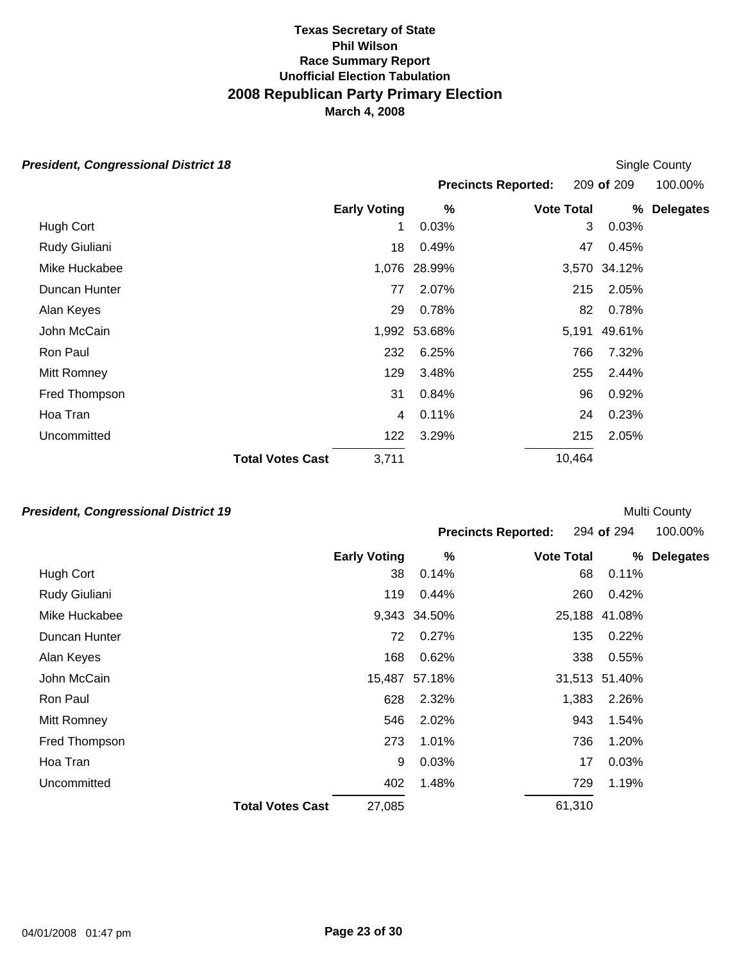|  | <b>President, Congressional District 18</b> |  |
|--|---------------------------------------------|--|
|--|---------------------------------------------|--|

| esident, Congressional District 18 |                         |                     |              |                            |        |              | Single County    |
|------------------------------------|-------------------------|---------------------|--------------|----------------------------|--------|--------------|------------------|
|                                    |                         |                     |              | <b>Precincts Reported:</b> |        | 209 of 209   | 100.00%          |
|                                    |                         | <b>Early Voting</b> | %            | <b>Vote Total</b>          |        | %            | <b>Delegates</b> |
| Hugh Cort                          |                         | 1                   | 0.03%        |                            | 3      | 0.03%        |                  |
| Rudy Giuliani                      |                         | 18                  | 0.49%        |                            | 47     | 0.45%        |                  |
| Mike Huckabee                      |                         |                     | 1,076 28.99% |                            |        | 3,570 34.12% |                  |
| Duncan Hunter                      |                         | 77                  | 2.07%        |                            | 215    | 2.05%        |                  |
| Alan Keyes                         |                         | 29                  | 0.78%        |                            | 82     | 0.78%        |                  |
| John McCain                        |                         |                     | 1,992 53.68% |                            | 5,191  | 49.61%       |                  |
| Ron Paul                           |                         | 232                 | 6.25%        |                            | 766    | 7.32%        |                  |
| Mitt Romney                        |                         | 129                 | 3.48%        |                            | 255    | 2.44%        |                  |
| Fred Thompson                      |                         | 31                  | 0.84%        |                            | 96     | 0.92%        |                  |
| Hoa Tran                           |                         | 4                   | 0.11%        |                            | 24     | 0.23%        |                  |
| Uncommitted                        |                         | 122                 | 3.29%        |                            | 215    | 2.05%        |                  |
|                                    | <b>Total Votes Cast</b> | 3,711               |              |                            | 10,464 |              |                  |

# *President, Congressional District 19*

|               |                         |                     |              | <b>Precincts Reported:</b> | 294 of 294    | 100.00%          |
|---------------|-------------------------|---------------------|--------------|----------------------------|---------------|------------------|
|               |                         | <b>Early Voting</b> | %            | <b>Vote Total</b>          | %             | <b>Delegates</b> |
| Hugh Cort     |                         | 38                  | 0.14%        | 68                         | 0.11%         |                  |
| Rudy Giuliani |                         | 119                 | 0.44%        | 260                        | 0.42%         |                  |
| Mike Huckabee |                         |                     | 9,343 34.50% |                            | 25,188 41.08% |                  |
| Duncan Hunter |                         | 72                  | 0.27%        | 135                        | 0.22%         |                  |
| Alan Keyes    |                         | 168                 | 0.62%        | 338                        | 0.55%         |                  |
| John McCain   |                         | 15,487              | 57.18%       |                            | 31,513 51.40% |                  |
| Ron Paul      |                         | 628                 | 2.32%        | 1,383                      | 2.26%         |                  |
| Mitt Romney   |                         | 546                 | 2.02%        | 943                        | 1.54%         |                  |
| Fred Thompson |                         | 273                 | 1.01%        | 736                        | 1.20%         |                  |
| Hoa Tran      |                         | 9                   | 0.03%        | 17                         | 0.03%         |                  |
| Uncommitted   |                         | 402                 | 1.48%        | 729                        | 1.19%         |                  |
|               | <b>Total Votes Cast</b> | 27,085              |              | 61,310                     |               |                  |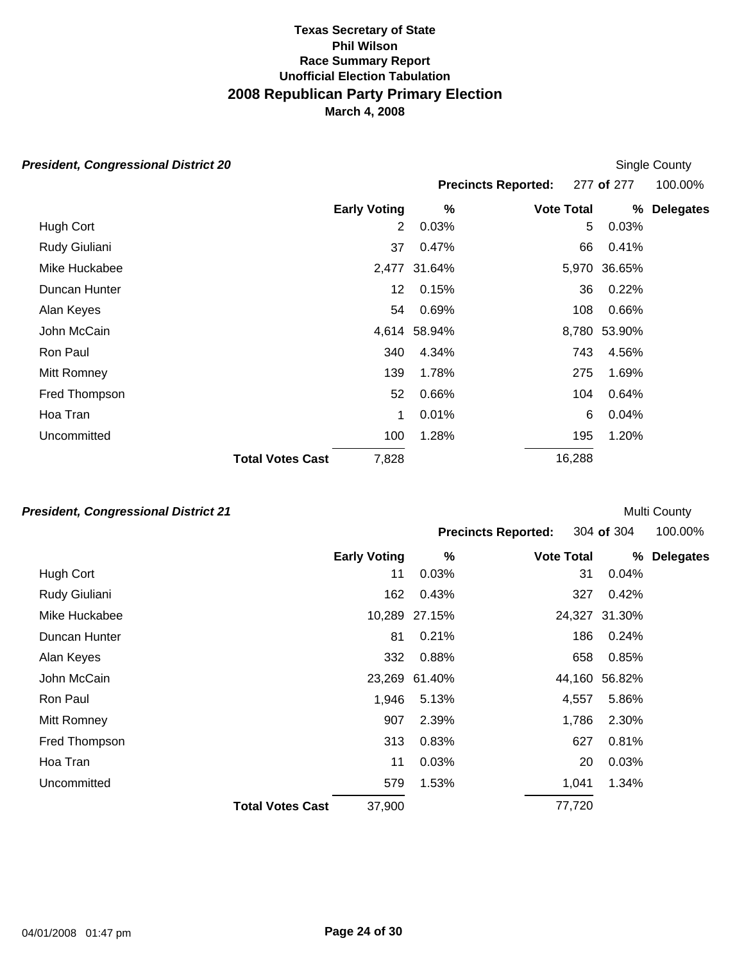| esident, Congressional District 20 |                         |                     |              |                            | Single County |                  |
|------------------------------------|-------------------------|---------------------|--------------|----------------------------|---------------|------------------|
|                                    |                         |                     |              | <b>Precincts Reported:</b> | 277 of 277    | 100.00%          |
|                                    |                         | <b>Early Voting</b> | %            | <b>Vote Total</b>          | %             | <b>Delegates</b> |
| Hugh Cort                          |                         | 2                   | 0.03%        |                            | 0.03%<br>5    |                  |
| Rudy Giuliani                      |                         | 37                  | 0.47%        | 66                         | 0.41%         |                  |
| Mike Huckabee                      |                         |                     | 2,477 31.64% |                            | 5,970 36.65%  |                  |
| Duncan Hunter                      |                         | 12                  | 0.15%        | 36                         | 0.22%         |                  |
| Alan Keyes                         |                         | 54                  | 0.69%        | 108                        | 0.66%         |                  |
| John McCain                        |                         |                     | 4,614 58.94% | 8,780                      | 53.90%        |                  |
| Ron Paul                           |                         | 340                 | 4.34%        | 743                        | 4.56%         |                  |
| Mitt Romney                        |                         | 139                 | 1.78%        | 275                        | 1.69%         |                  |
| Fred Thompson                      |                         | 52                  | 0.66%        | 104                        | 0.64%         |                  |
| Hoa Tran                           |                         | 1                   | 0.01%        |                            | 6<br>0.04%    |                  |
| Uncommitted                        |                         | 100                 | 1.28%        | 195                        | 1.20%         |                  |
|                                    | <b>Total Votes Cast</b> | 7,828               |              | 16,288                     |               |                  |

# *President, Congressional District 21*

|               |                         |                     |               | <b>Precincts Reported:</b> | 304 of 304    | 100.00%          |
|---------------|-------------------------|---------------------|---------------|----------------------------|---------------|------------------|
|               |                         | <b>Early Voting</b> | %             | <b>Vote Total</b>          | %             | <b>Delegates</b> |
| Hugh Cort     |                         | 11                  | 0.03%         | 31                         | 0.04%         |                  |
| Rudy Giuliani |                         | 162                 | 0.43%         | 327                        | 0.42%         |                  |
| Mike Huckabee |                         |                     | 10,289 27.15% |                            | 24,327 31.30% |                  |
| Duncan Hunter |                         | 81                  | 0.21%         | 186                        | 0.24%         |                  |
| Alan Keyes    |                         | 332                 | 0.88%         | 658                        | 0.85%         |                  |
| John McCain   |                         |                     | 23,269 61.40% |                            | 44,160 56.82% |                  |
| Ron Paul      |                         | 1,946               | 5.13%         | 4,557                      | 5.86%         |                  |
| Mitt Romney   |                         | 907                 | 2.39%         | 1,786                      | 2.30%         |                  |
| Fred Thompson |                         | 313                 | 0.83%         | 627                        | 0.81%         |                  |
| Hoa Tran      |                         | 11                  | 0.03%         | 20                         | 0.03%         |                  |
| Uncommitted   |                         | 579                 | 1.53%         | 1,041                      | 1.34%         |                  |
|               | <b>Total Votes Cast</b> | 37,900              |               | 77,720                     |               |                  |

Multi County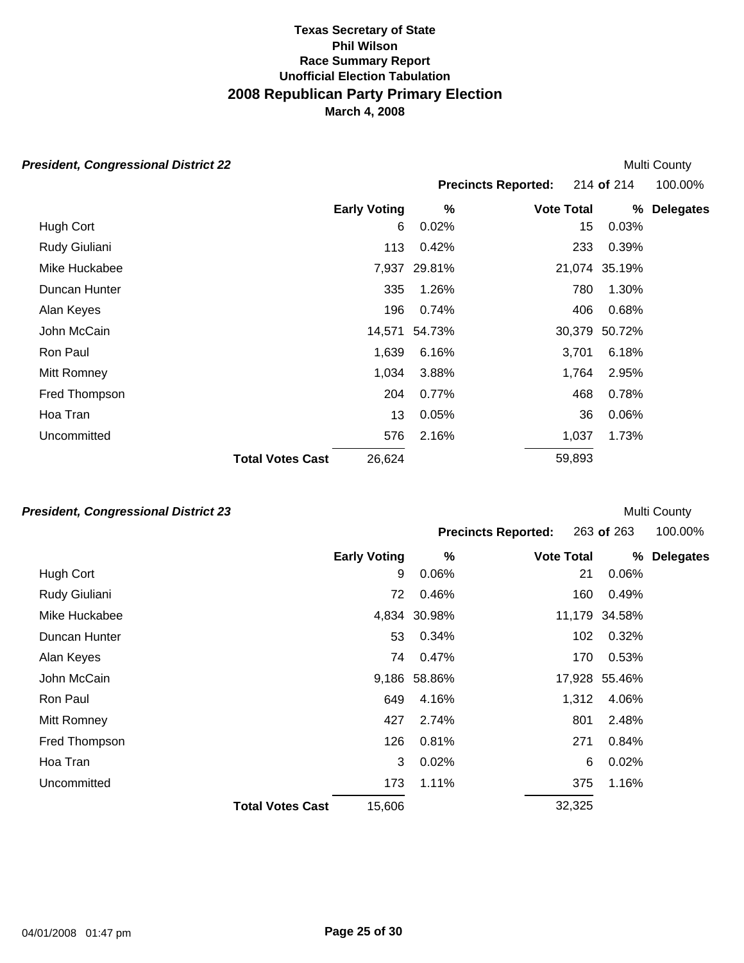Multi County

Multi County

#### *President, Congressional District 22*

|                         |        |                     |              |                            |                                                        | 100.00%                                    |
|-------------------------|--------|---------------------|--------------|----------------------------|--------------------------------------------------------|--------------------------------------------|
|                         |        | %                   |              |                            |                                                        | <b>Delegates</b>                           |
|                         | 6      | 0.02%               |              | 15                         | 0.03%                                                  |                                            |
|                         | 113    | 0.42%               |              | 233                        | 0.39%                                                  |                                            |
|                         |        |                     |              |                            |                                                        |                                            |
|                         | 335    | 1.26%               |              | 780                        | 1.30%                                                  |                                            |
|                         | 196    | 0.74%               |              | 406                        | 0.68%                                                  |                                            |
|                         | 14,571 | 54.73%              |              |                            | 50.72%                                                 |                                            |
|                         | 1,639  | 6.16%               |              |                            | 6.18%                                                  |                                            |
|                         | 1,034  | 3.88%               |              |                            | 2.95%                                                  |                                            |
|                         | 204    | 0.77%               |              | 468                        | 0.78%                                                  |                                            |
|                         | 13     | 0.05%               |              | 36                         | 0.06%                                                  |                                            |
|                         | 576    | 2.16%               |              |                            | 1.73%                                                  |                                            |
| <b>Total Votes Cast</b> | 26,624 |                     |              |                            |                                                        |                                            |
|                         |        | <b>Early Voting</b> | 7,937 29.81% | <b>Precincts Reported:</b> | <b>Vote Total</b><br>3,701<br>1,764<br>1,037<br>59,893 | 214 of 214<br>%<br>21,074 35.19%<br>30,379 |

### *President, Congressional District 23*

|               |                         |                     |              | <b>Precincts Reported:</b> | 263 of 263    | 100.00%          |
|---------------|-------------------------|---------------------|--------------|----------------------------|---------------|------------------|
|               |                         | <b>Early Voting</b> | %            | <b>Vote Total</b>          | %             | <b>Delegates</b> |
| Hugh Cort     |                         | 9                   | 0.06%        | 21                         | 0.06%         |                  |
| Rudy Giuliani |                         | 72                  | 0.46%        | 160                        | 0.49%         |                  |
| Mike Huckabee |                         |                     | 4,834 30.98% |                            | 11,179 34.58% |                  |
| Duncan Hunter |                         | 53                  | 0.34%        | 102                        | 0.32%         |                  |
| Alan Keyes    |                         | 74                  | 0.47%        | 170                        | 0.53%         |                  |
| John McCain   |                         |                     | 9,186 58.86% |                            | 17,928 55.46% |                  |
| Ron Paul      |                         | 649                 | 4.16%        | 1,312                      | 4.06%         |                  |
| Mitt Romney   |                         | 427                 | 2.74%        | 801                        | 2.48%         |                  |
| Fred Thompson |                         | 126                 | 0.81%        | 271                        | 0.84%         |                  |
| Hoa Tran      |                         | 3                   | 0.02%        | 6                          | 0.02%         |                  |
| Uncommitted   |                         | 173                 | 1.11%        | 375                        | 1.16%         |                  |
|               | <b>Total Votes Cast</b> | 15,606              |              | 32,325                     |               |                  |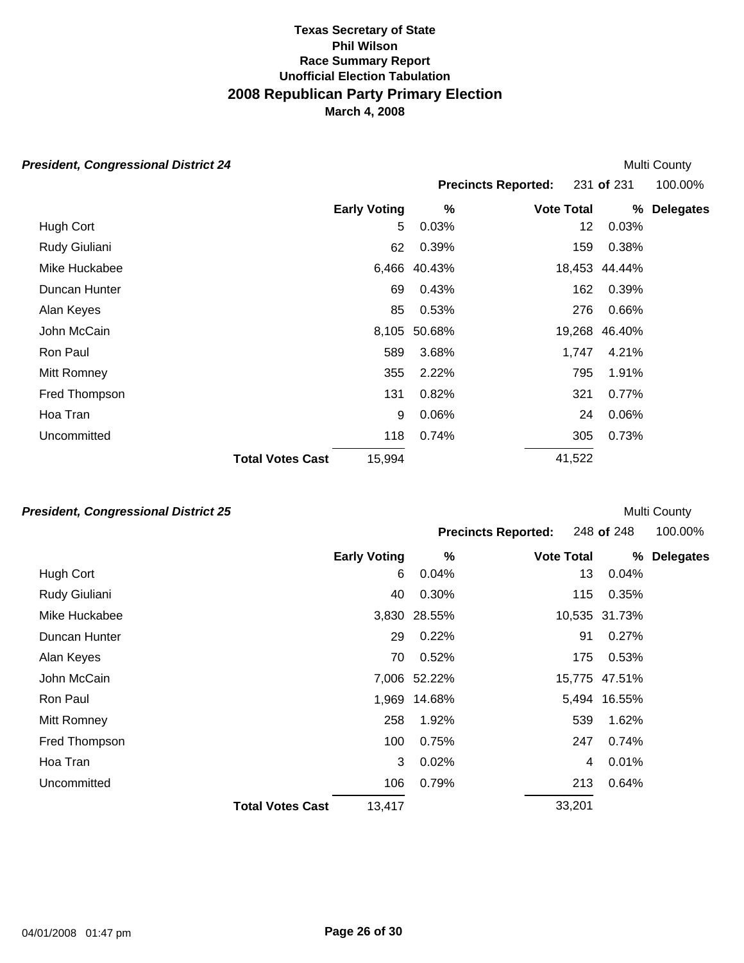# *President, Congressional District 24*

| esident, Congressional District 24 |                         |                     |              |                            | Multi County  |                  |
|------------------------------------|-------------------------|---------------------|--------------|----------------------------|---------------|------------------|
|                                    |                         |                     |              | <b>Precincts Reported:</b> | 231 of 231    | 100.00%          |
|                                    |                         | <b>Early Voting</b> | $\%$         | <b>Vote Total</b>          | %             | <b>Delegates</b> |
| Hugh Cort                          |                         | 5                   | 0.03%        |                            | 0.03%<br>12   |                  |
| Rudy Giuliani                      |                         | 62                  | 0.39%        |                            | 0.38%<br>159  |                  |
| Mike Huckabee                      |                         |                     | 6,466 40.43% |                            | 18,453 44.44% |                  |
| Duncan Hunter                      |                         | 69                  | 0.43%        |                            | 0.39%<br>162  |                  |
| Alan Keyes                         |                         | 85                  | 0.53%        | 276                        | 0.66%         |                  |
| John McCain                        |                         | 8,105               | 50.68%       | 19,268                     | 46.40%        |                  |
| Ron Paul                           |                         | 589                 | 3.68%        | 1,747                      | 4.21%         |                  |
| Mitt Romney                        |                         | 355                 | 2.22%        |                            | 795<br>1.91%  |                  |
| Fred Thompson                      |                         | 131                 | 0.82%        | 321                        | 0.77%         |                  |
| Hoa Tran                           |                         | 9                   | 0.06%        |                            | 0.06%<br>24   |                  |
| Uncommitted                        |                         | 118                 | 0.74%        |                            | 0.73%<br>305  |                  |
|                                    | <b>Total Votes Cast</b> | 15,994              |              | 41,522                     |               |                  |

# *President, Congressional District 25*

|               |                         |        |              | <b>Precincts Reported:</b> | 248 of 248    | 100.00%          |
|---------------|-------------------------|--------|--------------|----------------------------|---------------|------------------|
|               | <b>Early Voting</b>     |        | %            | <b>Vote Total</b>          | %             | <b>Delegates</b> |
| Hugh Cort     |                         | 6      | 0.04%        | 13                         | 0.04%         |                  |
| Rudy Giuliani |                         | 40     | 0.30%        | 115                        | 0.35%         |                  |
| Mike Huckabee |                         |        | 3,830 28.55% |                            | 10,535 31.73% |                  |
| Duncan Hunter |                         | 29     | 0.22%        | 91                         | 0.27%         |                  |
| Alan Keyes    |                         | 70     | 0.52%        | 175                        | 0.53%         |                  |
| John McCain   |                         |        | 7,006 52.22% |                            | 15,775 47.51% |                  |
| Ron Paul      |                         |        | 1,969 14.68% |                            | 5,494 16.55%  |                  |
| Mitt Romney   |                         | 258    | 1.92%        | 539                        | 1.62%         |                  |
| Fred Thompson |                         | 100    | 0.75%        | 247                        | 0.74%         |                  |
| Hoa Tran      |                         | 3      | 0.02%        | 4                          | 0.01%         |                  |
| Uncommitted   |                         | 106    | 0.79%        | 213                        | 0.64%         |                  |
|               | <b>Total Votes Cast</b> | 13,417 |              | 33,201                     |               |                  |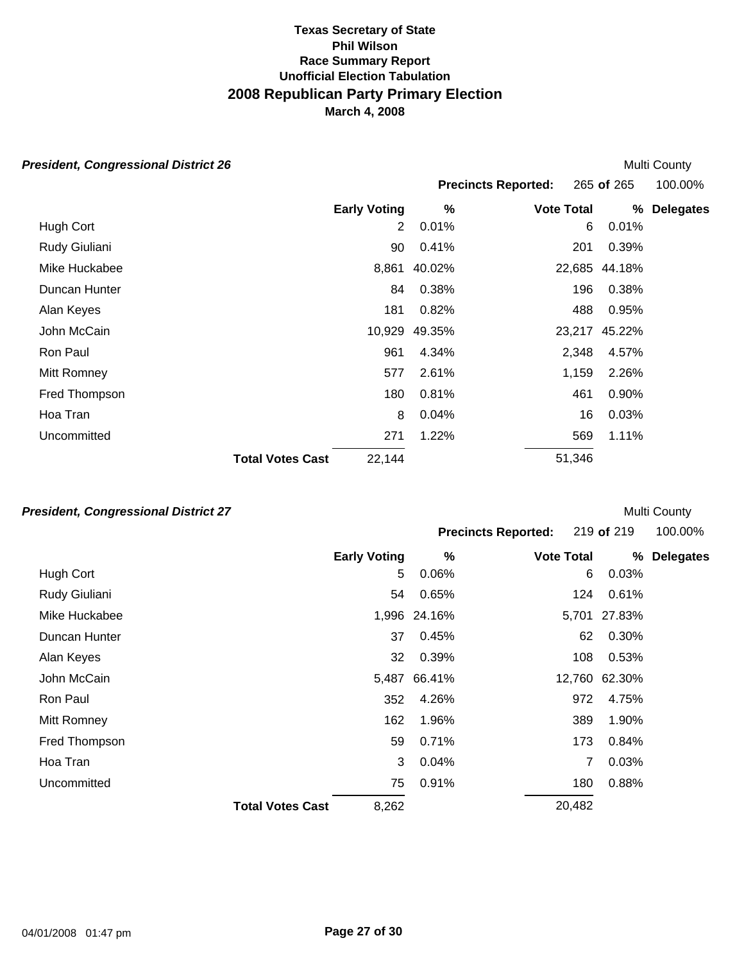#### *President, Congressional District 26*

|               |                         |                     |        | <b>Precincts Reported:</b> |        | 265 of 265 | 100.00%          |
|---------------|-------------------------|---------------------|--------|----------------------------|--------|------------|------------------|
|               |                         | <b>Early Voting</b> | %      | <b>Vote Total</b>          |        | %          | <b>Delegates</b> |
| Hugh Cort     |                         | 2                   | 0.01%  |                            | 6      | 0.01%      |                  |
| Rudy Giuliani |                         | 90                  | 0.41%  |                            | 201    | 0.39%      |                  |
| Mike Huckabee |                         | 8,861               | 40.02% |                            | 22,685 | 44.18%     |                  |
| Duncan Hunter |                         | 84                  | 0.38%  |                            | 196    | 0.38%      |                  |
| Alan Keyes    |                         | 181                 | 0.82%  |                            | 488    | 0.95%      |                  |
| John McCain   |                         | 10,929              | 49.35% |                            | 23,217 | 45.22%     |                  |
| Ron Paul      |                         | 961                 | 4.34%  |                            | 2,348  | 4.57%      |                  |
| Mitt Romney   |                         | 577                 | 2.61%  |                            | 1,159  | 2.26%      |                  |
| Fred Thompson |                         | 180                 | 0.81%  |                            | 461    | 0.90%      |                  |
| Hoa Tran      |                         | 8                   | 0.04%  |                            | 16     | 0.03%      |                  |
| Uncommitted   |                         | 271                 | 1.22%  |                            | 569    | 1.11%      |                  |
|               | <b>Total Votes Cast</b> | 22,144              |        |                            | 51,346 |            |                  |
|               |                         |                     |        |                            |        |            |                  |

### *President, Congressional District 27*

|                            |            | .       |
|----------------------------|------------|---------|
| <b>Precincts Reported:</b> | 219 of 219 | 100.00% |
|                            |            |         |

Multi County

|               | <b>Early Voting</b>              | $\%$         | <b>Vote Total</b> | %             | <b>Delegates</b> |
|---------------|----------------------------------|--------------|-------------------|---------------|------------------|
| Hugh Cort     | 5                                | 0.06%        | 6                 | 0.03%         |                  |
| Rudy Giuliani | 54                               | 0.65%        | 124               | 0.61%         |                  |
| Mike Huckabee |                                  | 1,996 24.16% |                   | 5,701 27.83%  |                  |
| Duncan Hunter | 37                               | 0.45%        | 62                | 0.30%         |                  |
| Alan Keyes    | 32                               | 0.39%        | 108               | 0.53%         |                  |
| John McCain   |                                  | 5,487 66.41% |                   | 12,760 62.30% |                  |
| Ron Paul      | 352                              | 4.26%        | 972               | 4.75%         |                  |
| Mitt Romney   | 162                              | 1.96%        | 389               | 1.90%         |                  |
| Fred Thompson | 59                               | 0.71%        | 173               | 0.84%         |                  |
| Hoa Tran      | 3                                | 0.04%        | 7                 | 0.03%         |                  |
| Uncommitted   | 75                               | 0.91%        | 180               | 0.88%         |                  |
|               | 8,262<br><b>Total Votes Cast</b> |              | 20,482            |               |                  |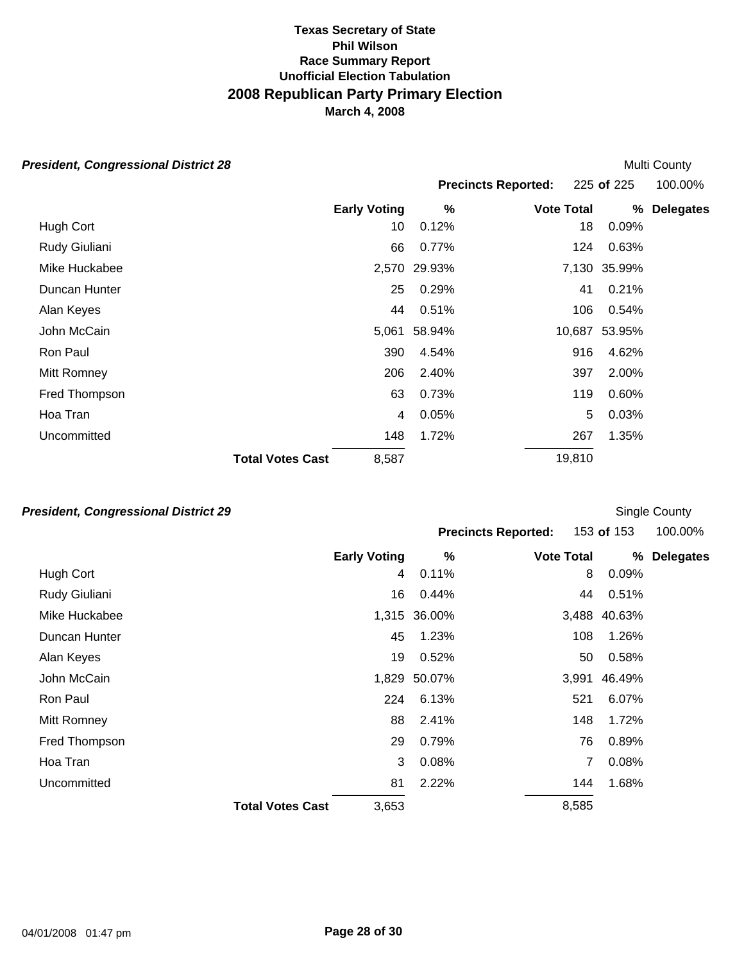# *President, Congressional District 28*

| esident, Congressional District 28 |                         |                     |              |                            |              | <b>Multi County</b> |
|------------------------------------|-------------------------|---------------------|--------------|----------------------------|--------------|---------------------|
|                                    |                         |                     |              | <b>Precincts Reported:</b> | 225 of 225   | 100.00%             |
|                                    |                         | <b>Early Voting</b> | $\%$         | <b>Vote Total</b>          | %            | <b>Delegates</b>    |
| Hugh Cort                          |                         | 10                  | 0.12%        | 18                         | 0.09%        |                     |
| Rudy Giuliani                      |                         | 66                  | 0.77%        | 124                        | 0.63%        |                     |
| Mike Huckabee                      |                         |                     | 2,570 29.93% |                            | 7,130 35.99% |                     |
| Duncan Hunter                      |                         | 25                  | 0.29%        | 41                         | 0.21%        |                     |
| Alan Keyes                         |                         | 44                  | 0.51%        | 106                        | 0.54%        |                     |
| John McCain                        |                         | 5,061               | 58.94%       | 10,687                     | 53.95%       |                     |
| Ron Paul                           |                         | 390                 | 4.54%        | 916                        | 4.62%        |                     |
| Mitt Romney                        |                         | 206                 | 2.40%        | 397                        | 2.00%        |                     |
| Fred Thompson                      |                         | 63                  | 0.73%        | 119                        | 0.60%        |                     |
| Hoa Tran                           |                         | 4                   | 0.05%        |                            | 5<br>0.03%   |                     |
| Uncommitted                        |                         | 148                 | 1.72%        | 267                        | 1.35%        |                     |
|                                    | <b>Total Votes Cast</b> | 8,587               |              | 19,810                     |              |                     |

# *President, Congressional District 29*

|               |                         |       | <b>Precincts Reported:</b> |                   | 153 of 153 |              | 100.00%          |  |
|---------------|-------------------------|-------|----------------------------|-------------------|------------|--------------|------------------|--|
|               | <b>Early Voting</b>     |       | %                          | <b>Vote Total</b> |            | %            | <b>Delegates</b> |  |
| Hugh Cort     |                         | 4     | 0.11%                      |                   | 8          | 0.09%        |                  |  |
| Rudy Giuliani |                         | 16    | 0.44%                      |                   | 44         | 0.51%        |                  |  |
| Mike Huckabee |                         |       | 1,315 36.00%               |                   |            | 3,488 40.63% |                  |  |
| Duncan Hunter |                         | 45    | 1.23%                      |                   | 108        | 1.26%        |                  |  |
| Alan Keyes    |                         | 19    | 0.52%                      |                   | 50         | 0.58%        |                  |  |
| John McCain   |                         |       | 1,829 50.07%               |                   | 3,991      | 46.49%       |                  |  |
| Ron Paul      |                         | 224   | 6.13%                      |                   | 521        | 6.07%        |                  |  |
| Mitt Romney   |                         | 88    | 2.41%                      |                   | 148        | 1.72%        |                  |  |
| Fred Thompson |                         | 29    | 0.79%                      |                   | 76         | 0.89%        |                  |  |
| Hoa Tran      |                         | 3     | 0.08%                      |                   |            | 0.08%        |                  |  |
| Uncommitted   |                         | 81    | 2.22%                      |                   | 144        | 1.68%        |                  |  |
|               | <b>Total Votes Cast</b> | 3,653 |                            |                   | 8,585      |              |                  |  |

Single County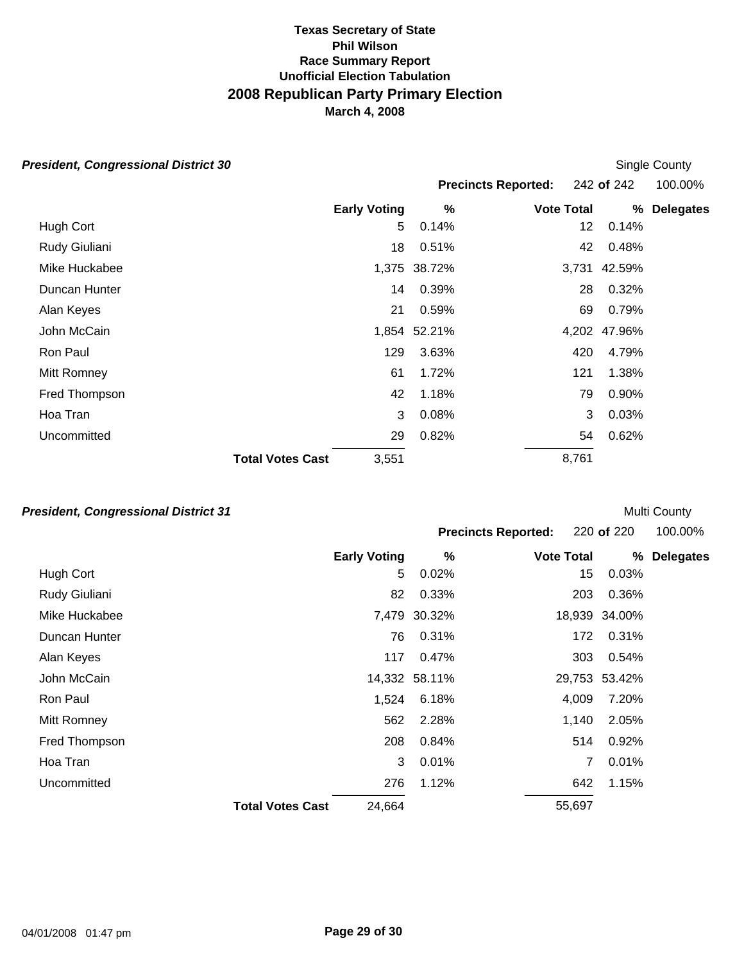| <b>President, Congressional District 30</b> |  |
|---------------------------------------------|--|
|---------------------------------------------|--|

| esident, Congressional District 30 |                         |                     |              |                            |       | Single County |                  |
|------------------------------------|-------------------------|---------------------|--------------|----------------------------|-------|---------------|------------------|
|                                    |                         |                     |              | <b>Precincts Reported:</b> |       | 242 of 242    | 100.00%          |
|                                    |                         | <b>Early Voting</b> | %            | <b>Vote Total</b>          |       | %             | <b>Delegates</b> |
| Hugh Cort                          |                         | 5                   | 0.14%        |                            | 12    | 0.14%         |                  |
| Rudy Giuliani                      |                         | 18                  | 0.51%        |                            | 42    | 0.48%         |                  |
| Mike Huckabee                      |                         |                     | 1,375 38.72% |                            | 3,731 | 42.59%        |                  |
| Duncan Hunter                      |                         | 14                  | 0.39%        |                            | 28    | 0.32%         |                  |
| Alan Keyes                         |                         | 21                  | 0.59%        |                            | 69    | 0.79%         |                  |
| John McCain                        |                         |                     | 1,854 52.21% |                            | 4,202 | 47.96%        |                  |
| Ron Paul                           |                         | 129                 | 3.63%        |                            | 420   | 4.79%         |                  |
| Mitt Romney                        |                         | 61                  | 1.72%        |                            | 121   | 1.38%         |                  |
| Fred Thompson                      |                         | 42                  | 1.18%        |                            | 79    | 0.90%         |                  |
| Hoa Tran                           |                         | 3                   | 0.08%        |                            | 3     | 0.03%         |                  |
| Uncommitted                        |                         | 29                  | 0.82%        |                            | 54    | 0.62%         |                  |
|                                    | <b>Total Votes Cast</b> | 3,551               |              |                            | 8,761 |               |                  |

*President, Congressional District 31* 

|               |                                   |              | <b>Precincts Reported:</b> |                   | 220 of 220 |               | 100.00%          |
|---------------|-----------------------------------|--------------|----------------------------|-------------------|------------|---------------|------------------|
|               | <b>Early Voting</b>               |              | %                          | <b>Vote Total</b> |            | %             | <b>Delegates</b> |
| Hugh Cort     |                                   | 5            | 0.02%                      |                   | 15         | 0.03%         |                  |
| Rudy Giuliani | 82                                |              | 0.33%                      |                   | 203        | 0.36%         |                  |
| Mike Huckabee |                                   | 7,479 30.32% |                            |                   |            | 18,939 34.00% |                  |
| Duncan Hunter | 76                                |              | 0.31%                      |                   | 172        | 0.31%         |                  |
| Alan Keyes    | 117                               |              | 0.47%                      |                   | 303        | 0.54%         |                  |
| John McCain   | 14,332 58.11%                     |              |                            |                   |            | 29,753 53.42% |                  |
| Ron Paul      | 1,524                             |              | 6.18%                      |                   | 4,009      | 7.20%         |                  |
| Mitt Romney   | 562                               |              | 2.28%                      |                   | 1,140      | 2.05%         |                  |
| Fred Thompson | 208                               |              | 0.84%                      |                   | 514        | 0.92%         |                  |
| Hoa Tran      |                                   | 3            | 0.01%                      |                   | 7          | 0.01%         |                  |
| Uncommitted   | 276                               |              | 1.12%                      |                   | 642        | 1.15%         |                  |
|               | <b>Total Votes Cast</b><br>24,664 |              |                            |                   | 55,697     |               |                  |